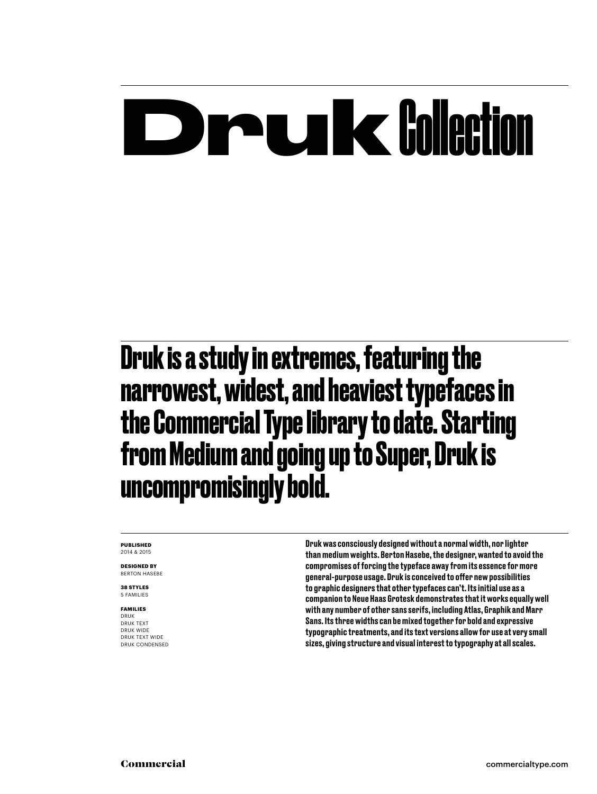## **Drukk** Collection

**Druk is a study in extremes, featuring the narrowest, widest, and heaviest typefaces in the Commercial Type library to date. Starting from Medium and going up to Super, Druk is uncompromisingly bold.**

**PUBLISHED** 2014 & 2015

**DESIGNED BY** BERTON HASEBE

**38 STYLES** 5 FAMILIES

### **FAMILIES**

DRUK DRUK TEXT DRUK WIDE DRUK TEXT WIDE DRUK CONDENSED Druk was consciously designed without a normal width, nor lighter than medium weights. Berton Hasebe, the designer, wanted to avoid the compromises of forcing the typeface away from its essence for more general-purpose usage. Druk is conceived to offer new possibilities to graphic designers that other typefaces can't. Its initial use as a companion to Neue Haas Grotesk demonstrates that it works equally well with any number of other sans serifs, including Atlas, Graphik and Marr Sans. Its three widths can be mixed together for bold and expressive typographic treatments, and its text versions allow for use at very small sizes, giving structure and visual interest to typography at all scales.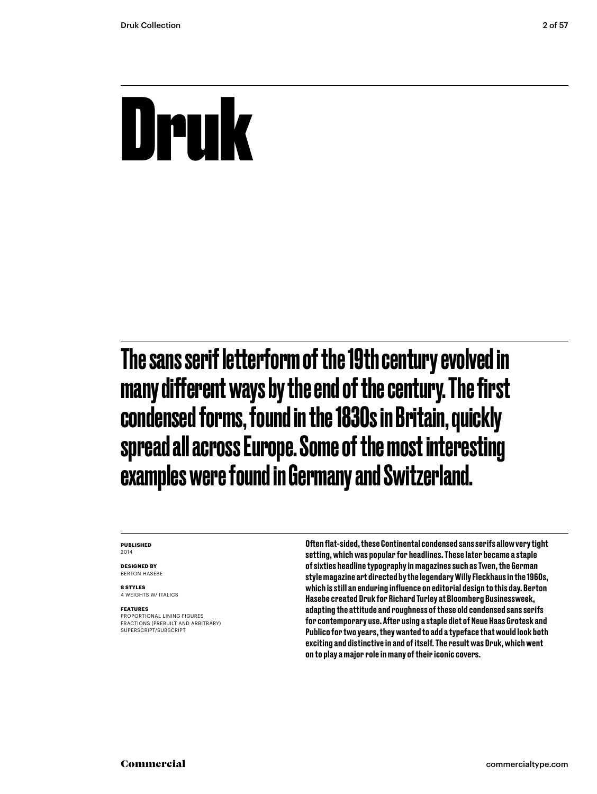## Druk

The sans serif letterform of the 19th century evolved in many different ways by the end of the century. The first condensed forms, found in the 1830s in Britain, quickly spread all across Europe. Some of the most interesting examples were found in Germany and Switzerland.

#### **PUBLISHED** 2014

**DESIGNED BY** BERTON HASEBE

**8 STYLES** 4 WEIGHTS W/ ITALICS

#### **FEATURES**

PROPORTIONAL LINING FIGURES FRACTIONS (PREBUILT AND ARBITRARY) SUPERSCRIPT/SUBSCRIPT

Often flat-sided, these Continental condensed sans serifs allow very tight setting, which was popular for headlines. These later became a staple of sixties headline typography in magazines such as Twen, the German style magazine art directed by the legendary Willy Fleckhaus in the 1960s, which is still an enduring influence on editorial design to this day. Berton Hasebe created Druk for Richard Turley at Bloomberg Businessweek, adapting the attitude and roughness of these old condensed sans serifs for contemporary use. After using a staple diet of Neue Haas Grotesk and Publico for two years, they wanted to add a typeface that would look both exciting and distinctive in and of itself. The result was Druk, which went on to play a major role in many of their iconic covers.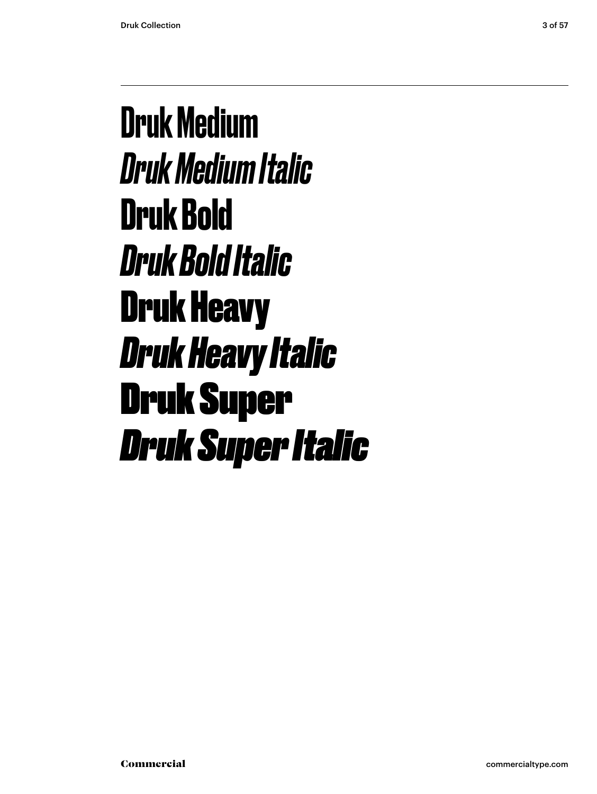Druk Medium *Druk Medium Italic* **Druk Bold** *Druk Bold Italic* Druk Heavy *Druk Heavy Italic* Druk Super *Druk Super Italic*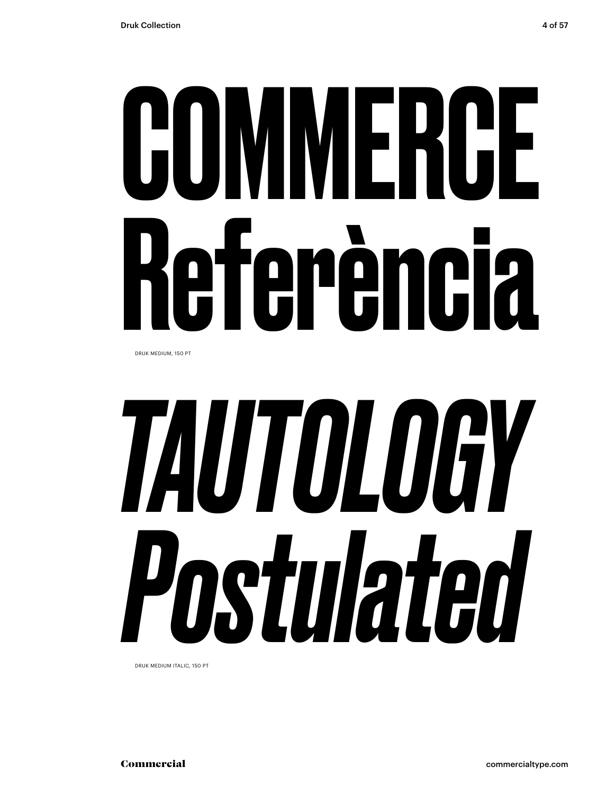# **COMMERCE** Referència

DRUK MEDIUM, 150 PT

# *TAUTOLOGY Postulated*

DRUK MEDIUM ITALIC, 150 PT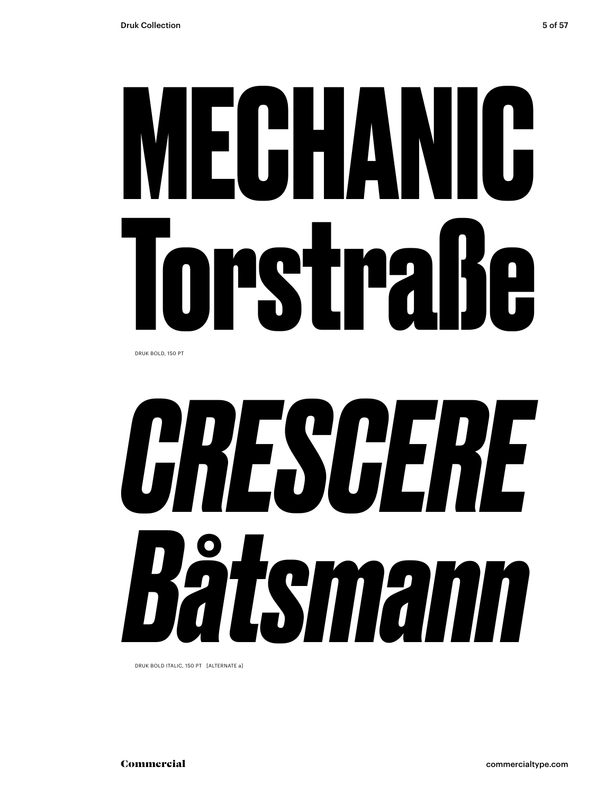# **MECHANIC Torstraße**

DRUK BOLD, 150 PT



DRUK BOLD ITALIC, 150 PT [ALTERNATE a]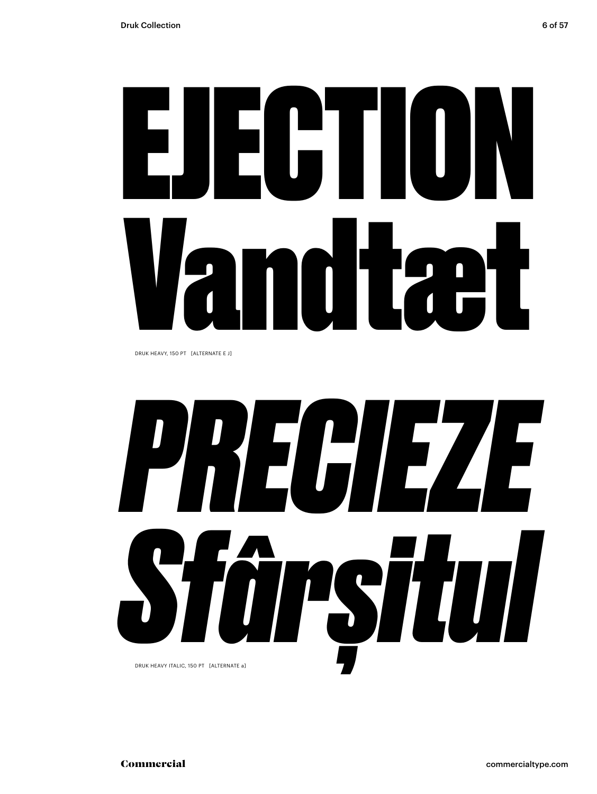# EJECTION Vandtæt

DRUK HEAVY, 150 PT [ALTERNATE E J]

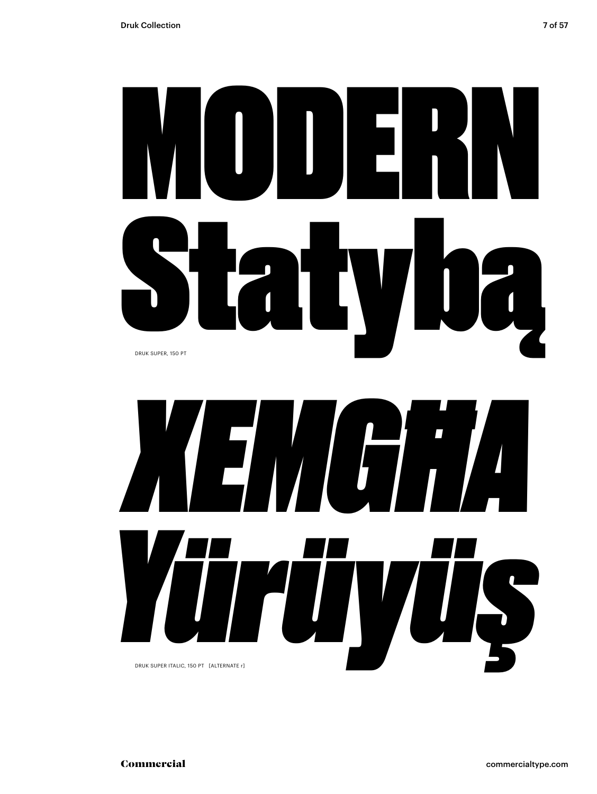

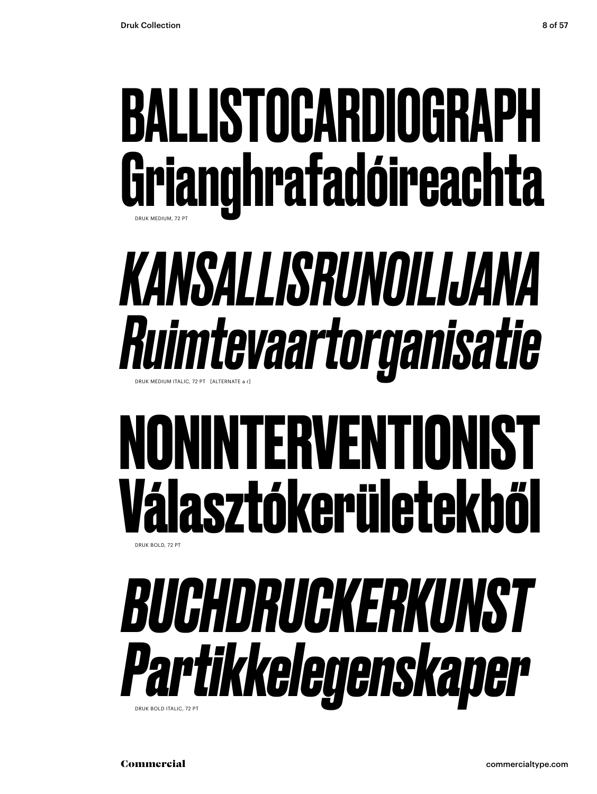### BALLISTOCARDIOGRAPH Grianghrafadóireachta DRUK MEDIUM, 72 PT

### *KANSALLISRUNOILIJANA Ruimtevaartorganisatie* DRUK MEDIUM ITALIC, 72 PT [ALTERNATE a r]

### **NONINTERVENTIONIST Választókerületekből** DRUK BOLD, 72 PT



Commercial commercialtype.com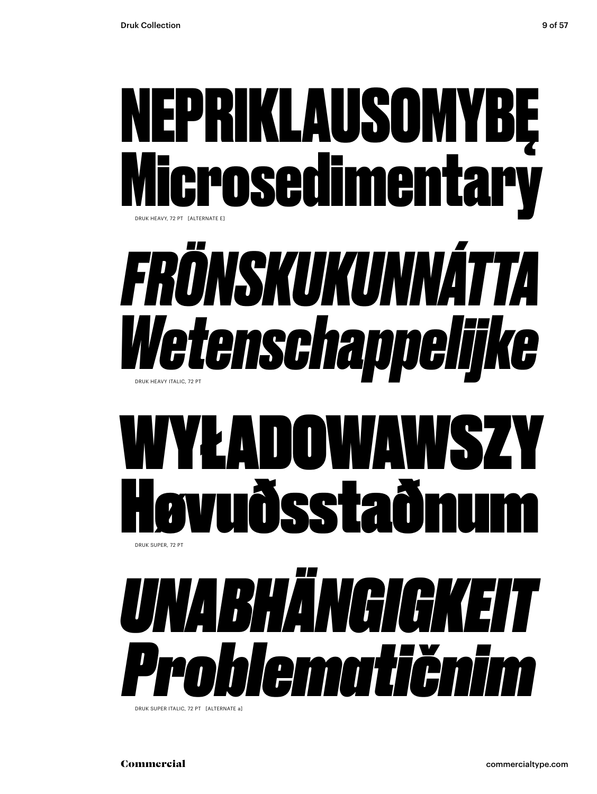



DRUK SUPER ITALIC, 72 PT [ALTERNATE a]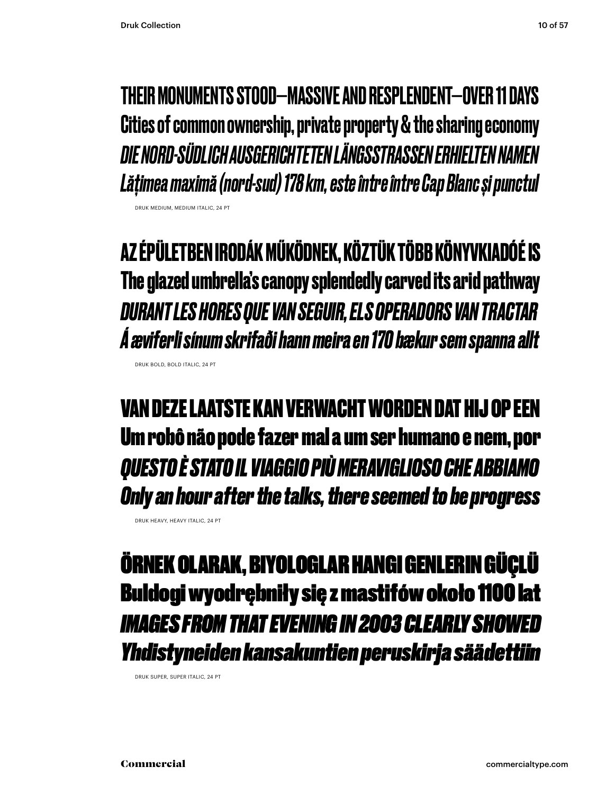DRUK MEDIUM, MEDIUM ITALIC, 24 PT

DRUK BOLD, BOLD ITALIC, 24 PT

THEIR MONUMENTS STOOD—MASSIVE AND RESPLENDENT—OVER 11 DAYS Cities of common ownership, private property & the sharing economy *DIE NORD-SÜDLICH AUSGERICHTETEN LÄNGSSTRASSEN ERHIELTEN NAMEN Lățimea maximă (nord-sud) 178 km, este între între Cap Blanc și punctul*

**AZ ÉPÜLETBEN IRODÁK MŰKÖDNEK, KÖZTÜK TÖBB KÖNYVKIADÓÉ IS The glazed umbrella's canopy splendedly carved its arid pathway** *DURANT LES HORES QUE VAN SEGUIR, ELS OPERADORS VAN TRACTAR Á æviferli sínum skrifaði hann meira en 170 bækur sem spanna allt*

VAN DEZE LAATSTE KAN VERWACHT WORDEN DAT HIJ OP EEN Um robô não pode fazer mal a um ser humano e nem, por *QUESTO È STATO IL VIAGGIO PIÙ MERAVIGLIOSO CHE ABBIAMO Only an hour after the talks, there seemed to be progress*

ÖRNEK OLARAK, BIYOLOGLAR HANGI GENLERIN GÜÇLÜ Buldogi wyodrębniły się z mastifów około 1100 lat *IMAGES FROM THAT EVENING IN 2003 CLEARLY SHOWED Yhdistyneiden kansakuntien peruskirja säädettiin*

DRUK SUPER, SUPER ITALIC, 24 PT

DRUK HEAVY, HEAVY ITALIC, 24 PT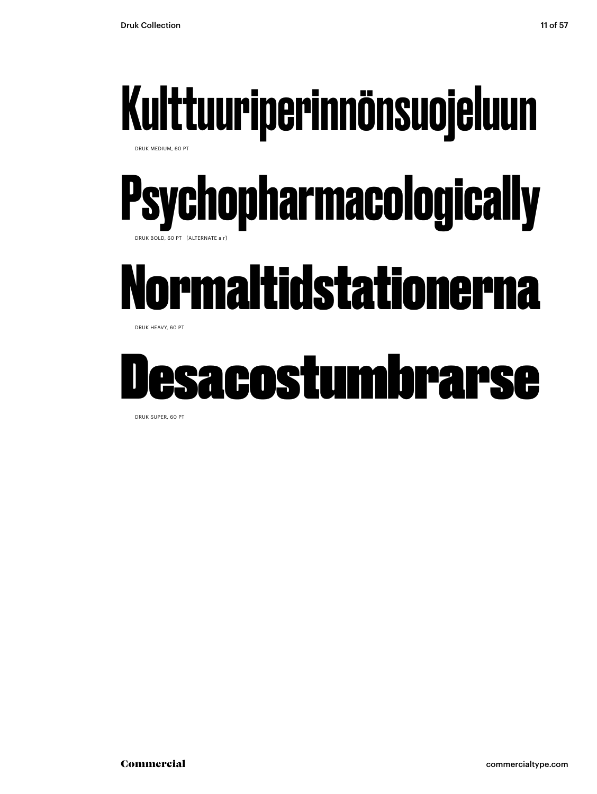

DRUK MEDIUM, 60 PT

### **Psychopharmacologically** DRUK BOLD, 60 PT [ALTERNATE a r]

### Normaltidstationerna

DRUK HEAVY, 60 PT

### Desacostumbrarse

DRUK SUPER, 60 PT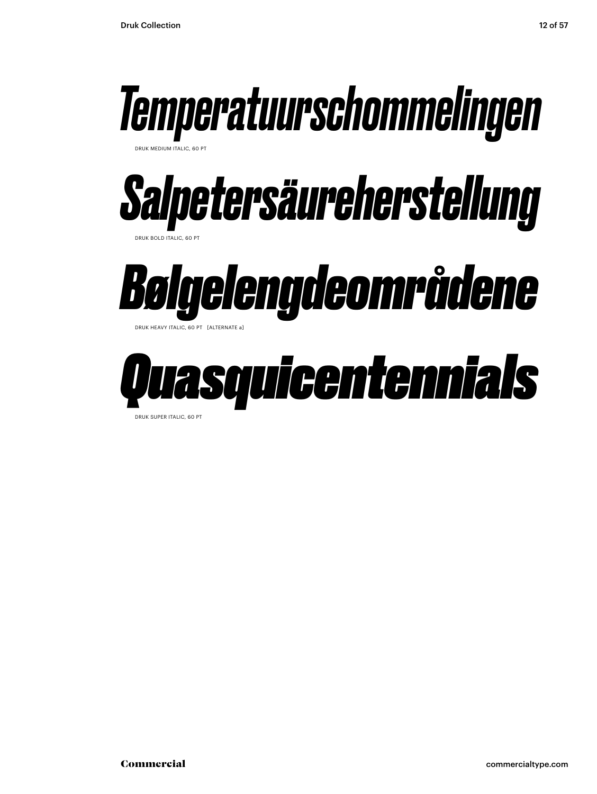

DRUK SUPER ITALIC, 60 PT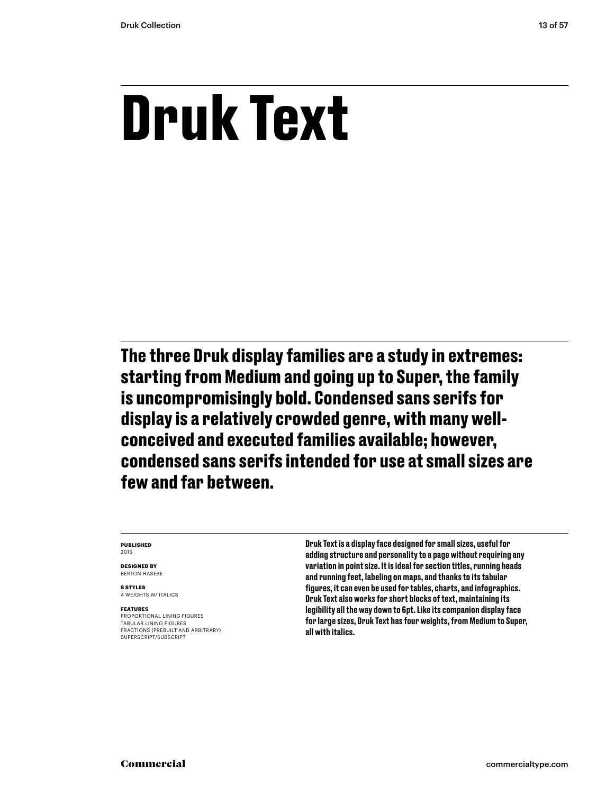### **Druk Text**

**The three Druk display families are a study in extremes: starting from Medium and going up to Super, the family is uncompromisingly bold. Condensed sans serifs for display is a relatively crowded genre, with many wellconceived and executed families available; however, condensed sans serifs intended for use at small sizes are few and far between.**

#### **PUBLISHED** 2015

**DESIGNED BY** BERTON HASEBE

**8 STYLES** 4 WEIGHTS W/ ITALICS

#### **FEATURES**

PROPORTIONAL LINING FIGURES TABULAR LINING FIGURES FRACTIONS (PREBUILT AND ARBITRARY) SUPERSCRIPT/SUBSCRIPT

Druk Text is a display face designed for small sizes, useful for adding structure and personality to a page without requiring any variation in point size. It is ideal for section titles, running heads and running feet, labeling on maps, and thanks to its tabular figures, it can even be used for tables, charts, and infographics. Druk Text also works for short blocks of text, maintaining its legibility all the way down to 6pt. Like its companion display face for large sizes, Druk Text has four weights, from Medium to Super, all with italics.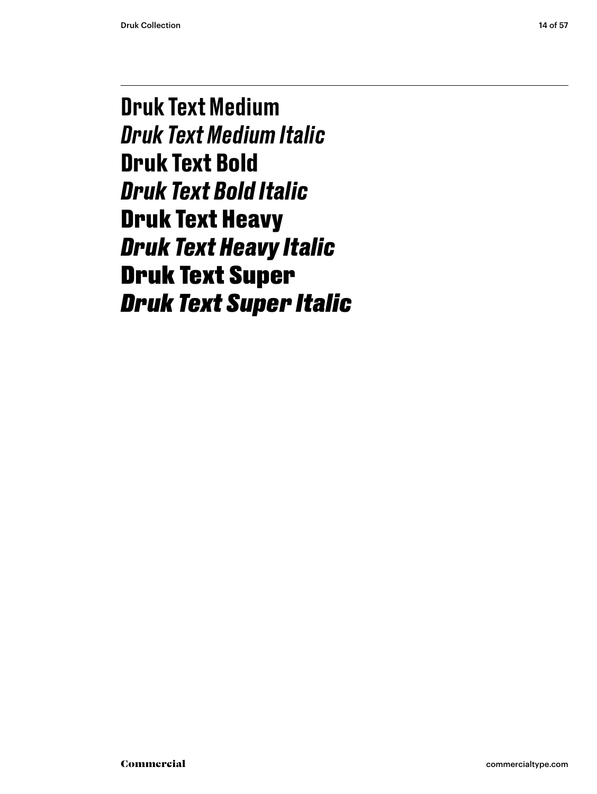Druk Text Medium *Druk Text Medium Italic* **Druk Text Bold** *Druk Text Bold Italic* Druk Text Heavy *Druk Text Heavy Italic* Druk Text Super *Druk Text Super Italic*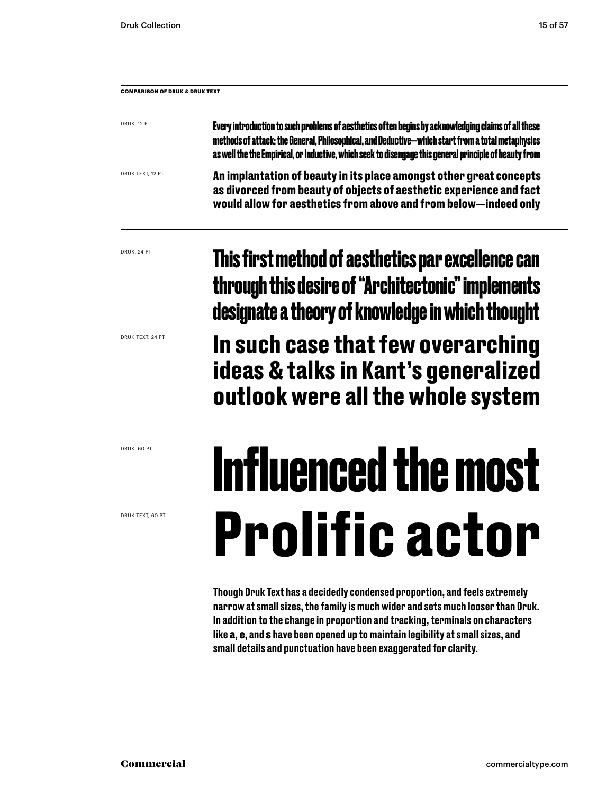| <b>COMPARISON OF DRUK &amp; DRUK TEXT</b> |                                                                                                                                                                                                                                                                                                                     |  |  |  |
|-------------------------------------------|---------------------------------------------------------------------------------------------------------------------------------------------------------------------------------------------------------------------------------------------------------------------------------------------------------------------|--|--|--|
| DRUK, 12 PT                               | Every introduction to such problems of aesthetics of ten begins by acknowledging claims of all these<br>methods of attack: the General, Philosophical, and Deductive—which start from a total metaphysics<br>as well the the Empirical, or Inductive, which seek to disengage this general principle of beauty from |  |  |  |
| DRUK TEXT, 12 PT                          | An implantation of beauty in its place amongst other great concepts<br>as divorced from beauty of objects of aesthetic experience and fact<br>would allow for aesthetics from above and from below-indeed only                                                                                                      |  |  |  |
| DRUK, 24 PT                               | This first method of aesthetics par excellence can<br>through this desire of "Architectonic" implements<br>designate a theory of knowledge in which thought                                                                                                                                                         |  |  |  |
| DRUK TEXT, 24 PT                          | In auah aaaa that fau ausnanahing                                                                                                                                                                                                                                                                                   |  |  |  |

**In such case that few overarching ideas & talks in Kant's generalized outlook were all the whole system**

### **Influenced the most Prolific actor**

Though Druk Text has a decidedly condensed proportion, and feels extremely narrow at small sizes, the family is much wider and sets much looser than Druk. In addition to the change in proportion and tracking, terminals on characters like a, e, and s have been opened up to maintain legibility at small sizes, and small details and punctuation have been exaggerated for clarity.

DRUK, 60 PT

DRUK TEXT, 60 PT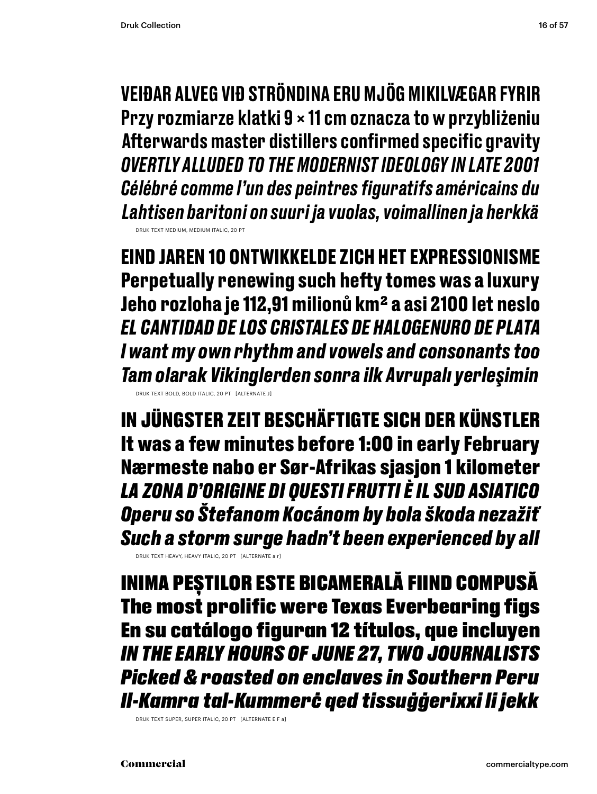VEIÐAR ALVEG VIÐ STRÖNDINA ERU MJÖG MIKILVÆGAR FYRIR Przy rozmiarze klatki 9 × 11 cm oznacza to w przybliżeniu Afterwards master distillers confirmed specific gravity *OVERTLY ALLUDED TO THE MODERNIST IDEOLOGY IN LATE 2001 Célébré comme l'un des peintres figuratifs américains du Lahtisen baritoni on suuri ja vuolas, voimallinen ja herkkä* DRUK TEXT MEDIUM, MEDIUM ITALIC, 20 PT

**EIND JAREN 10 ONTWIKKELDE ZICH HET EXPRESSIONISME Perpetually renewing such hefty tomes was a luxury Jeho rozloha je 112,91 milionů km2 a asi 2100 let neslo** *EL CANTIDAD DE LOS CRISTALES DE HALOGENURO DE PLATA I want my own rhythm and vowels and consonants too Tam olarak Vikinglerden sonra ilk Avrupalı yerleşimin* DRUK TEXT BOLD, BOLD ITALIC, 20 PT [ALTERNATE J]

IN JÜNGSTER ZEIT BESCHÄFTIGTE SICH DER KÜNSTLER It was a few minutes before 1:00 in early February Nærmeste nabo er Sør-Afrikas sjasjon 1 kilometer *LA ZONA D'ORIGINE DI QUESTI FRUTTI È IL SUD ASIATICO Operu so Štefanom Kocánom by bola škoda nezažiť Such a storm surge hadn't been experienced by all*

DRUK TEXT HEAVY, HEAVY ITALIC, 20 PT [ALTERNATE a r]

INIMA PEȘTILOR ESTE BICAMERALĂ FIIND COMPUSĂ The most prolific were Texas Everbearing figs En su catálogo figuran 12 títulos, que incluyen *IN THE EARLY HOURS OF JUNE 27, TWO JOURNALISTS Picked & roasted on enclaves in Southern Peru Il-Kamra tal-Kummerċ qed tissuġġerixxi li jekk*

DRUK TEXT SUPER, SUPER ITALIC, 20 PT [ALTERNATE E F a]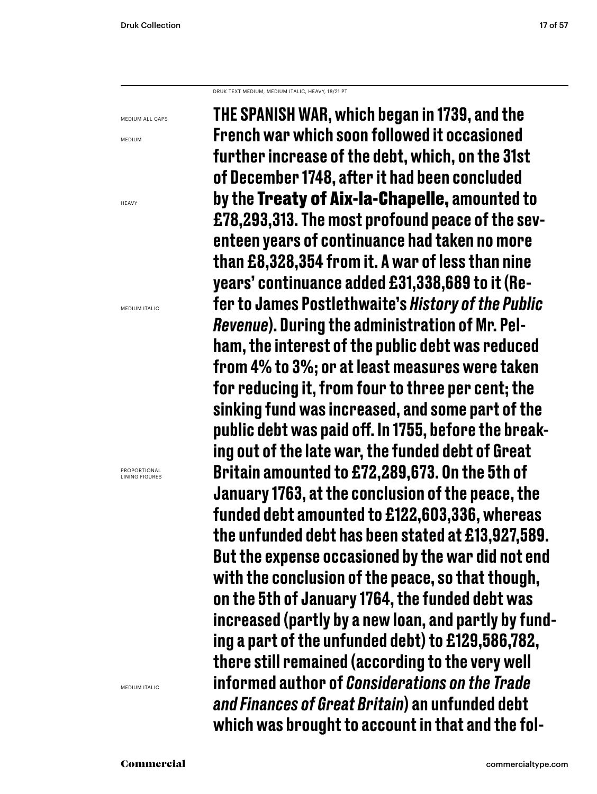DRUK TEXT MEDIUM, MEDIUM ITALIC, HEAVY, 18/21 PT

MEDIUM ALL CAPS

MEDIUM

**HFAVY** 

MEDIUM ITALIC

PROPORTIONAL LINING FIGURES

MEDIUM ITALIC

THE SPANISH WAR, which began in 1739, and the French war which soon followed it occasioned further increase of the debt, which, on the 31st of December 1748, after it had been concluded by the Treaty of Aix-la-Chapelle, amounted to £78,293,313. The most profound peace of the seventeen years of continuance had taken no more than £8,328,354 from it. A war of less than nine years' continuance added £31,338,689 to it (Refer to James Postlethwaite's *History of the Public Revenue*). During the administration of Mr. Pelham, the interest of the public debt was reduced from 4% to 3%; or at least measures were taken for reducing it, from four to three per cent; the sinking fund was increased, and some part of the public debt was paid off. In 1755, before the breaking out of the late war, the funded debt of Great Britain amounted to £72,289,673. On the 5th of January 1763, at the conclusion of the peace, the funded debt amounted to £122,603,336, whereas the unfunded debt has been stated at £13,927,589. But the expense occasioned by the war did not end with the conclusion of the peace, so that though, on the 5th of January 1764, the funded debt was increased (partly by a new loan, and partly by funding a part of the unfunded debt) to £129,586,782, there still remained (according to the very well informed author of *Considerations on the Trade and Finances of Great Britain*) an unfunded debt which was brought to account in that and the fol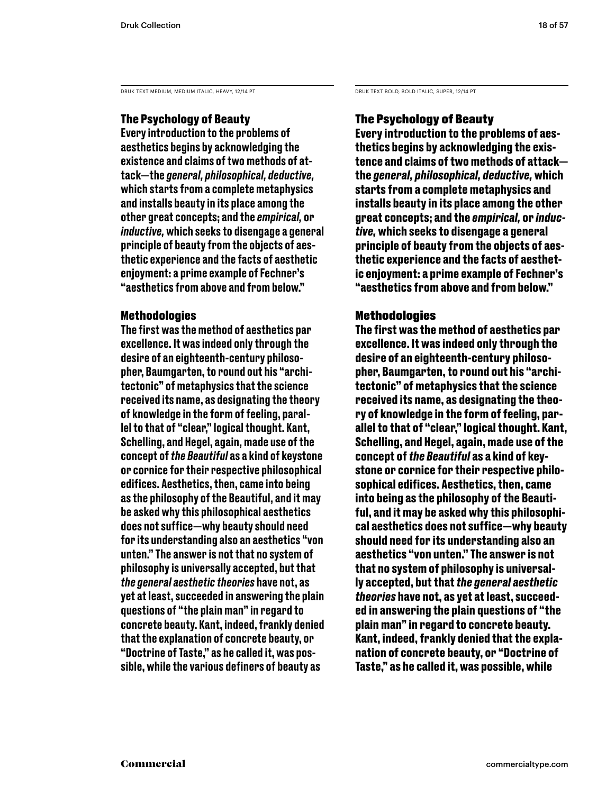DRUK TEXT MEDIUM, MEDIUM ITALIC, HEAVY, 12/14 PT DRUK TEXT BOLD, BOLD ITALIC, SUPER, 12/14 PT

### The Psychology of Beauty

Every introduction to the problems of aesthetics begins by acknowledging the existence and claims of two methods of attack—the *general, philosophical, deductive,*  which starts from a complete metaphysics and installs beauty in its place among the other great concepts; and the *empirical,* or *inductive,* which seeks to disengage a general principle of beauty from the objects of aesthetic experience and the facts of aesthetic enjoyment: a prime example of Fechner's "aesthetics from above and from below."

### Methodologies

The first was the method of aesthetics par excellence. It was indeed only through the desire of an eighteenth-century philosopher, Baumgarten, to round out his "architectonic" of metaphysics that the science received its name, as designating the theory of knowledge in the form of feeling, parallel to that of "clear," logical thought. Kant, Schelling, and Hegel, again, made use of the concept of *the Beautiful* as a kind of keystone or cornice for their respective philosophical edifices. Aesthetics, then, came into being as the philosophy of the Beautiful, and it may be asked why this philosophical aesthetics does not suffice—why beauty should need for its understanding also an aesthetics "von unten." The answer is not that no system of philosophy is universally accepted, but that *the general aesthetic theories* have not, as yet at least, succeeded in answering the plain questions of "the plain man" in regard to concrete beauty. Kant, indeed, frankly denied that the explanation of concrete beauty, or "Doctrine of Taste," as he called it, was possible, while the various definers of beauty as

### The Psychology of Beauty

**Every introduction to the problems of aesthetics begins by acknowledging the existence and claims of two methods of attack the** *general, philosophical, deductive,* **which starts from a complete metaphysics and installs beauty in its place among the other great concepts; and the** *empirical,* **or** *inductive,* **which seeks to disengage a general principle of beauty from the objects of aesthetic experience and the facts of aesthetic enjoyment: a prime example of Fechner's "aesthetics from above and from below."** 

### **Methodologies**

**The first was the method of aesthetics par excellence. It was indeed only through the desire of an eighteenth-century philosopher, Baumgarten, to round out his "architectonic" of metaphysics that the science received its name, as designating the theory of knowledge in the form of feeling, parallel to that of "clear," logical thought. Kant, Schelling, and Hegel, again, made use of the concept of** *the Beautiful* **as a kind of keystone or cornice for their respective philosophical edifices. Aesthetics, then, came into being as the philosophy of the Beautiful, and it may be asked why this philosophical aesthetics does not suffice—why beauty should need for its understanding also an aesthetics "von unten." The answer is not that no system of philosophy is universally accepted, but that***the general aesthetic theories* **have not, as yet at least, succeeded in answering the plain questions of "the plain man" in regard to concrete beauty. Kant, indeed, frankly denied that the explanation of concrete beauty, or "Doctrine of Taste," as he called it, was possible, while**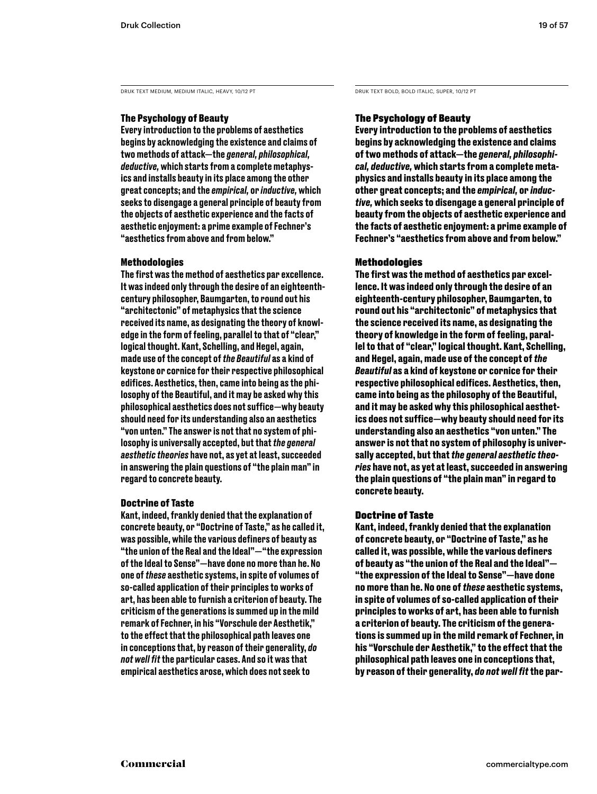DRUK TEXT MEDIUM, MEDIUM ITALIC, HEAVY, 10/12 PT DRUK TEXT BOLD, BOLD ITALIC, SUPER, 10/12 PT

### The Psychology of Beauty

Every introduction to the problems of aesthetics begins by acknowledging the existence and claims of two methods of attack—the *general, philosophical, deductive,* which starts from a complete metaphysics and installs beauty in its place among the other great concepts; and the *empirical,* or *inductive,* which seeks to disengage a general principle of beauty from the objects of aesthetic experience and the facts of aesthetic enjoyment: a prime example of Fechner's "aesthetics from above and from below."

### Methodologies

The first was the method of aesthetics par excellence. It was indeed only through the desire of an eighteenthcentury philosopher, Baumgarten, to round out his "architectonic" of metaphysics that the science received its name, as designating the theory of knowledge in the form of feeling, parallel to that of "clear," logical thought. Kant, Schelling, and Hegel, again, made use of the concept of *the Beautiful* as a kind of keystone or cornice for their respective philosophical edifices. Aesthetics, then, came into being as the philosophy of the Beautiful, and it may be asked why this philosophical aesthetics does not suffice—why beauty should need for its understanding also an aesthetics "von unten." The answer is not that no system of philosophy is universally accepted, but that *the general aesthetic theories* have not, as yet at least, succeeded in answering the plain questions of "the plain man" in regard to concrete beauty.

### Doctrine of Taste

Kant, indeed, frankly denied that the explanation of concrete beauty, or "Doctrine of Taste," as he called it, was possible, while the various definers of beauty as "the union of the Real and the Ideal"—"the expression of the Ideal to Sense"—have done no more than he. No one of *these* aesthetic systems, in spite of volumes of so-called application of their principles to works of art, has been able to furnish a criterion of beauty. The criticism of the generations is summed up in the mild remark of Fechner, in his "Vorschule der Aesthetik," to the effect that the philosophical path leaves one in conceptions that, by reason of their generality, *do not well fit* the particular cases. And so it was that empirical aesthetics arose, which does not seek to

### The Psychology of Beauty

**Every introduction to the problems of aesthetics begins by acknowledging the existence and claims of two methods of attack—the** *general, philosophical, deductive,* **which starts from a complete metaphysics and installs beauty in its place among the other great concepts; and the** *empirical,* **or** *inductive,* **which seeks to disengage a general principle of beauty from the objects of aesthetic experience and the facts of aesthetic enjoyment: a prime example of Fechner's "aesthetics from above and from below."** 

### **Methodologies**

**The first was the method of aesthetics par excellence. It was indeed only through the desire of an eighteenth-century philosopher, Baumgarten, to round out his "architectonic" of metaphysics that the science received its name, as designating the theory of knowledge in the form of feeling, parallel to that of "clear," logical thought. Kant, Schelling, and Hegel, again, made use of the concept of** *the Beautiful* **as a kind of keystone or cornice for their respective philosophical edifices. Aesthetics, then, came into being as the philosophy of the Beautiful, and it may be asked why this philosophical aesthetics does not suffice—why beauty should need for its understanding also an aesthetics "von unten." The answer is not that no system of philosophy is universally accepted, but that** *the general aesthetic theories* **have not, as yet at least, succeeded in answering the plain questions of "the plain man" in regard to concrete beauty.** 

### Doctrine of Taste

**Kant, indeed, frankly denied that the explanation of concrete beauty, or "Doctrine of Taste," as he called it, was possible, while the various definers of beauty as "the union of the Real and the Ideal"— "the expression of the Ideal to Sense"—have done no more than he. No one of** *these* **aesthetic systems, in spite of volumes of so-called application of their principles to works of art, has been able to furnish a criterion of beauty. The criticism of the generations is summed up in the mild remark of Fechner, in his "Vorschule der Aesthetik," to the effect that the philosophical path leaves one in conceptions that, by reason of their generality,** *do not well fit* **the par-**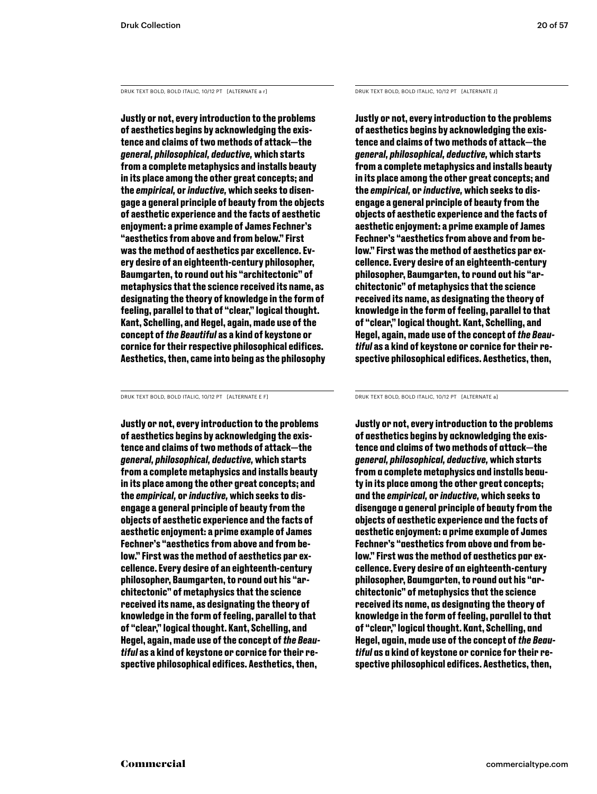DRUK TEXT BOLD, BOLD ITALIC, 10/12 PT [ALTERNATE a r] DRUK TEXT BOLD, BOLD ITALIC, 10/12 PT [ALTERNATE J]

**Justly or not, every introduction to the problems of aesthetics begins by acknowledging the existence and claims of two methods of attack—the** *general, philosophical, deductive,* **which starts from a complete metaphysics and installs beauty in its place among the other great concepts; and the** *empirical,* **or** *inductive,* **which seeks to disengage a general principle of beauty from the objects of aesthetic experience and the facts of aesthetic enjoyment: a prime example of James Fechner's "aesthetics from above and from below." First was the method of aesthetics par excellence. Every desire of an eighteenth-century philosopher, Baumgarten, to round out his "architectonic" of metaphysics that the science received its name, as designating the theory of knowledge in the form of feeling, parallel to that of "clear," logical thought. Kant, Schelling, and Hegel, again, made use of the concept of** *the Beautiful* **as a kind of keystone or cornice for their respective philosophical edifices. Aesthetics, then, came into being as the philosophy** 

DRUK TEXT BOLD, BOLD ITALIC, 10/12 PT [ALTERNATE E F] DRUK TEXT BOLD, BOLD ITALIC, 10/12 PT [ALTERNATE a]

**Justly or not, every introduction to the problems of aesthetics begins by acknowledging the existence and claims of two methods of attack—the** *general, philosophical, deductive,* **which starts from a complete metaphysics and installs beauty in its place among the other great concepts; and the** *empirical,* **or** *inductive,* **which seeks to disengage a general principle of beauty from the objects of aesthetic experience and the facts of aesthetic enjoyment: a prime example of James Fechner's "aesthetics from above and from below." First was the method of aesthetics par excellence. Every desire of an eighteenth-century philosopher, Baumgarten, to round out his "architectonic" of metaphysics that the science received its name, as designating the theory of knowledge in the form of feeling, parallel to that of "clear," logical thought. Kant, Schelling, and Hegel, again, made use of the concept of** *the Beautiful* **as a kind of keystone or cornice for their respective philosophical edifices. Aesthetics, then,** 

**Justly or not, every introduction to the problems of aesthetics begins by acknowledging the existence and claims of two methods of attack—the** *general, philosophical, deductive,* **which starts from a complete metaphysics and installs beauty in its place among the other great concepts; and the** *empirical,* **or** *inductive,* **which seeks to disengage a general principle of beauty from the objects of aesthetic experience and the facts of aesthetic enjoyment: a prime example of James Fechner's "aesthetics from above and from below." First was the method of aesthetics par excellence. Every desire of an eighteenth-century philosopher, Baumgarten, to round out his "architectonic" of metaphysics that the science received its name, as designating the theory of knowledge in the form of feeling, parallel to that of "clear," logical thought. Kant, Schelling, and Hegel, again, made use of the concept of** *the Beautiful* **as a kind of keystone or cornice for their respective philosophical edifices. Aesthetics, then,** 

**Justly or not, every introduction to the problems of aesthetics begins by acknowledging the existence and claims of two methods of attack—the** *general, philosophical, deductive,* **which starts from a complete metaphysics and installs beauty in its place among the other great concepts; and the** *empirical,* **or** *inductive,* **which seeks to disengage a general principle of beauty from the objects of aesthetic experience and the facts of aesthetic enjoyment: a prime example of James Fechner's "aesthetics from above and from below." First was the method of aesthetics par excellence. Every desire of an eighteenth-century philosopher, Baumgarten, to round out his "architectonic" of metaphysics that the science received its name, as designating the theory of knowledge in the form of feeling, parallel to that of "clear," logical thought. Kant, Schelling, and Hegel, again, made use of the concept of** *the Beautiful* **as a kind of keystone or cornice for their respective philosophical edifices. Aesthetics, then,**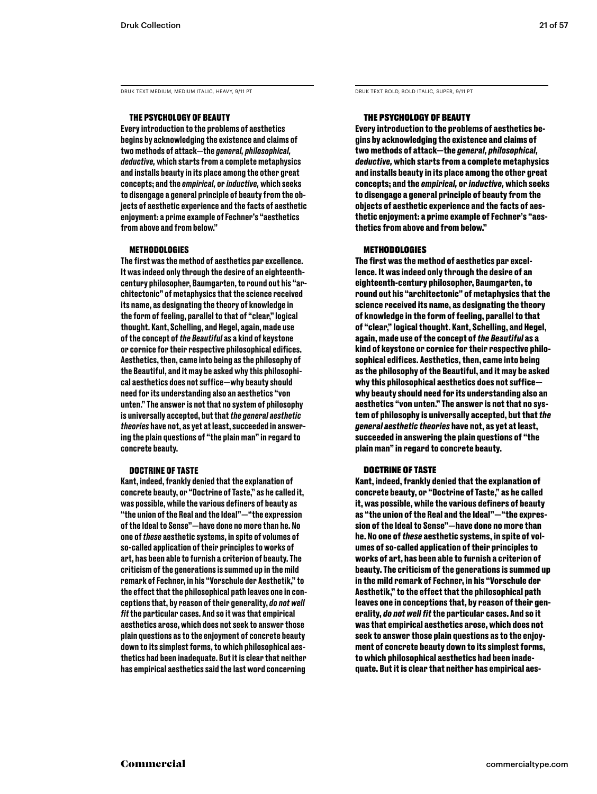DRUK TEXT MEDIUM, MEDIUM ITALIC, HEAVY, 9/11 PT DRUK TEXT BOLD, BOLD ITALIC, SUPER, 9/11 PT

### THE PSYCHOLOGY OF BEAUTY

Every introduction to the problems of aesthetics begins by acknowledging the existence and claims of two methods of attack—the *general, philosophical, deductive,* which starts from a complete metaphysics and installs beauty in its place among the other great concepts; and the *empirical,* or *inductive,* which seeks to disengage a general principle of beauty from the objects of aesthetic experience and the facts of aesthetic enjoyment: a prime example of Fechner's "aesthetics from above and from below."

#### **METHODOLOGIES**

The first was the method of aesthetics par excellence. It was indeed only through the desire of an eighteenthcentury philosopher, Baumgarten, to round out his "architectonic" of metaphysics that the science received its name, as designating the theory of knowledge in the form of feeling, parallel to that of "clear," logical thought. Kant, Schelling, and Hegel, again, made use of the concept of *the Beautiful* as a kind of keystone or cornice for their respective philosophical edifices. Aesthetics, then, came into being as the philosophy of the Beautiful, and it may be asked why this philosophical aesthetics does not suffice—why beauty should need for its understanding also an aesthetics "von unten." The answer is not that no system of philosophy is universally accepted, but that *the general aesthetic theories* have not, as yet at least, succeeded in answering the plain questions of "the plain man" in regard to concrete beauty.

#### DOCTRINE OF TASTE

Kant, indeed, frankly denied that the explanation of concrete beauty, or "Doctrine of Taste," as he called it, was possible, while the various definers of beauty as "the union of the Real and the Ideal"—"the expression of the Ideal to Sense"—have done no more than he. No one of *these* aesthetic systems, in spite of volumes of so-called application of their principles to works of art, has been able to furnish a criterion of beauty. The criticism of the generations is summed up in the mild remark of Fechner, in his "Vorschule der Aesthetik," to the effect that the philosophical path leaves one in conceptions that, by reason of their generality, *do not well fit* the particular cases. And so it was that empirical aesthetics arose, which does not seek to answer those plain questions as to the enjoyment of concrete beauty down to its simplest forms, to which philosophical aesthetics had been inadequate. But it is clear that neither has empirical aesthetics said the last word concerning

### THE PSYCHOLOGY OF BEAUTY

**Every introduction to the problems of aesthetics begins by acknowledging the existence and claims of two methods of attack—the** *general, philosophical, deductive,* **which starts from a complete metaphysics and installs beauty in its place among the other great concepts; and the** *empirical,* **or** *inductive,* **which seeks to disengage a general principle of beauty from the objects of aesthetic experience and the facts of aesthetic enjoyment: a prime example of Fechner's "aesthetics from above and from below."** 

#### **METHODOLOGIES**

**The first was the method of aesthetics par excellence. It was indeed only through the desire of an eighteenth-century philosopher, Baumgarten, to round out his "architectonic" of metaphysics that the science received its name, as designating the theory of knowledge in the form of feeling, parallel to that of "clear," logical thought. Kant, Schelling, and Hegel, again, made use of the concept of** *the Beautiful* **as a kind of keystone or cornice for their respective philosophical edifices. Aesthetics, then, came into being as the philosophy of the Beautiful, and it may be asked why this philosophical aesthetics does not suffice why beauty should need for its understanding also an aesthetics "von unten." The answer is not that no system of philosophy is universally accepted, but that** *the general aesthetic theories* **have not, as yet at least, succeeded in answering the plain questions of "the plain man" in regard to concrete beauty.** 

### DOCTRINE OF TASTE

**Kant, indeed, frankly denied that the explanation of concrete beauty, or "Doctrine of Taste," as he called it, was possible, while the various definers of beauty as "the union of the Real and the Ideal"—"the expression of the Ideal to Sense"—have done no more than he. No one of** *these* **aesthetic systems, in spite of volumes of so-called application of their principles to works of art, has been able to furnish a criterion of beauty. The criticism of the generations is summed up in the mild remark of Fechner, in his "Vorschule der Aesthetik," to the effect that the philosophical path leaves one in conceptions that, by reason of their generality,** *do not well fit* **the particular cases. And so it was that empirical aesthetics arose, which does not seek to answer those plain questions as to the enjoyment of concrete beauty down to its simplest forms, to which philosophical aesthetics had been inadequate. But it is clear that neither has empirical aes-**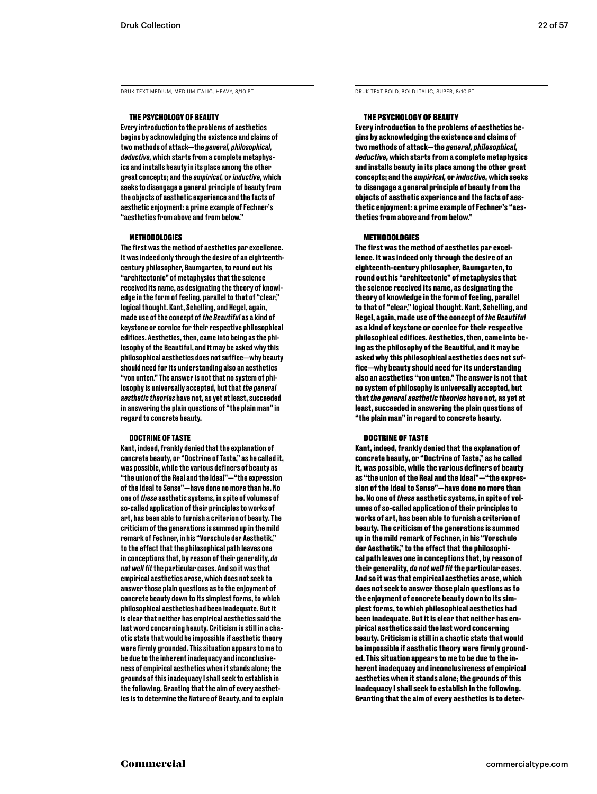DRUK TEXT MEDIUM, MEDIUM ITALIC, HEAVY, 8/10 PT DRUK TEXT BOLD, BOLD ITALIC, SUPER, 8/10 PT

#### THE PSYCHOLOGY OF BEAUTY

Every introduction to the problems of aesthetics begins by acknowledging the existence and claims of two methods of attack—the *general, philosophical, deductive,* which starts from a complete metaphysics and installs beauty in its place among the other great concepts; and the *empirical,* or *inductive,* which seeks to disengage a general principle of beauty from the objects of aesthetic experience and the facts of aesthetic enjoyment: a prime example of Fechner's "aesthetics from above and from below."

#### METHODOLOGIES

The first was the method of aesthetics par excellence. It was indeed only through the desire of an eighteenthcentury philosopher, Baumgarten, to round out his "architectonic" of metaphysics that the science received its name, as designating the theory of knowledge in the form of feeling, parallel to that of "clear," logical thought. Kant, Schelling, and Hegel, again, made use of the concept of *the Beautiful* as a kind of keystone or cornice for their respective philosophical edifices. Aesthetics, then, came into being as the philosophy of the Beautiful, and it may be asked why this philosophical aesthetics does not suffice—why beauty should need for its understanding also an aesthetics "von unten." The answer is not that no system of philosophy is universally accepted, but that *the general aesthetic theories* have not, as yet at least, succeeded in answering the plain questions of "the plain man" in regard to concrete beauty.

#### DOCTRINE OF TASTE

Kant, indeed, frankly denied that the explanation of concrete beauty, or "Doctrine of Taste," as he called it, was possible, while the various definers of beauty as "the union of the Real and the Ideal"—"the expression of the Ideal to Sense"—have done no more than he. No one of *these* aesthetic systems, in spite of volumes of so-called application of their principles to works of art, has been able to furnish a criterion of beauty. The criticism of the generations is summed up in the mild remark of Fechner, in his "Vorschule der Aesthetik," to the effect that the philosophical path leaves one in conceptions that, by reason of their generality, *do not well fit* the particular cases. And so it was that empirical aesthetics arose, which does not seek to answer those plain questions as to the enjoyment of concrete beauty down to its simplest forms, to which philosophical aesthetics had been inadequate. But it is clear that neither has empirical aesthetics said the last word concerning beauty. Criticism is still in a chaotic state that would be impossible if aesthetic theory were firmly grounded. This situation appears to me to be due to the inherent inadequacy and inconclusiveness of empirical aesthetics when it stands alone; the grounds of this inadequacy I shall seek to establish in the following. Granting that the aim of every aesthetics is to determine the Nature of Beauty, and to explain

#### THE PSYCHOLOGY OF BEAUTY

**Every introduction to the problems of aesthetics begins by acknowledging the existence and claims of two methods of attack—the** *general, philosophical, deductive,* **which starts from a complete metaphysics and installs beauty in its place among the other great concepts; and the** *empirical,* **or** *inductive,* **which seeks to disengage a general principle of beauty from the objects of aesthetic experience and the facts of aesthetic enjoyment: a prime example of Fechner's "aesthetics from above and from below."** 

#### METHODOLOGIES

**The first was the method of aesthetics par excellence. It was indeed only through the desire of an eighteenth-century philosopher, Baumgarten, to round out his "architectonic" of metaphysics that the science received its name, as designating the theory of knowledge in the form of feeling, parallel to that of "clear," logical thought. Kant, Schelling, and Hegel, again, made use of the concept of** *the Beautiful*  **as a kind of keystone or cornice for their respective philosophical edifices. Aesthetics, then, came into being as the philosophy of the Beautiful, and it may be asked why this philosophical aesthetics does not suffice—why beauty should need for its understanding also an aesthetics "von unten." The answer is not that no system of philosophy is universally accepted, but that** *the general aesthetic theories* **have not, as yet at least, succeeded in answering the plain questions of "the plain man" in regard to concrete beauty.** 

#### DOCTRINE OF TASTE

**Kant, indeed, frankly denied that the explanation of concrete beauty, or "Doctrine of Taste," as he called it, was possible, while the various definers of beauty as "the union of the Real and the Ideal"—"the expression of the Ideal to Sense"—have done no more than he. No one of** *these* **aesthetic systems, in spite of volumes of so-called application of their principles to works of art, has been able to furnish a criterion of beauty. The criticism of the generations is summed up in the mild remark of Fechner, in his "Vorschule der Aesthetik," to the effect that the philosophical path leaves one in conceptions that, by reason of their generality,** *do not well fit* **the particular cases. And so it was that empirical aesthetics arose, which does not seek to answer those plain questions as to the enjoyment of concrete beauty down to its simplest forms, to which philosophical aesthetics had been inadequate. But it is clear that neither has empirical aesthetics said the last word concerning beauty. Criticism is still in a chaotic state that would be impossible if aesthetic theory were firmly grounded. This situation appears to me to be due to the inherent inadequacy and inconclusiveness of empirical aesthetics when it stands alone; the grounds of this inadequacy I shall seek to establish in the following. Granting that the aim of every aesthetics is to deter-**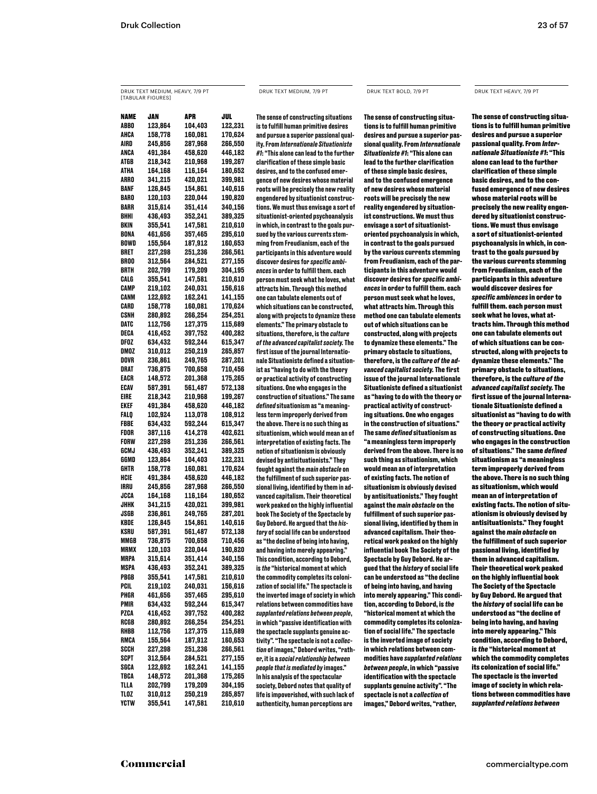### DRUK TEXT MEDIUM, HEAVY, 7/9 PT [TABULAR FIGURES]

DRUK TEXT MEDIUM, 7/9 PT DRUK TEXT BOLD, 7/9 PT DRUK TEXT HEAVY, 7/9 PT

NAME JAN APR JUL ABBO 123,864 104,403 122,231 AHCA 158,778 160,081 170,624<br>AIRD 245.856 287.968 266.550 245,856 287,968 266,550 ANCA 491,384 458,620 446,182 ATGB 218,342 210,968 199,267 ATHA 164,168 116,164 180,652 ARRO 341,215 420,021 399,981 BANF 126,845 154,861 140,616 BARO 120,103 220,044 190,820 BARR 315,614 351,414 340,156 BHHI 436,493 352,241 389,325 BKIN 355,541 147,581 210,610 BONA 461,656 357,465 295,610 BOWD 155,564 187,912 160,653 BRET 227,298 251,236 266,561 BROO 312,564 284,521 277,155 BRTH 202,799 179,209 304,195 CALG 355,541 147,581 210,610 CAMP 219,102 240,031 156,616 CANM 122,692 162,241 141,155 CARD 158,778 160,081 170,624 CSNH 280,892 266,254 254,251 DATC 112,756 127,375 115,689 DECA 416,452 397,752 400,282 DFOZ 634,432 592,244 615,347 DMOZ 310,012 250,219 265,857 DOVR 236,861 249,765 287,201 DRAT 736,875 700,658 710,456 EACR 148,572 201,368 175,265 ECAV 587,391 561,487 572,138 EIRE 218,342 210,968 199,267 EKEF 491,384 458,620 446,182 FALQ 102,924 113,078 108,912 FBBE 634,432 592,244 615,347 FDOR 387,116 414,278 402,621 FORW 227,298 251,236 266,561 GCMJ 436,493 352,241 389,325 GGMD 123,864 104,403 122,231 GHTR 158,778 160,081 170,624 HCIE 491,384 458,620 446,182 IRRU 245,856 287,968 266,550 JCCA 164,168 116,164 180,652 JHHK 341,215 420,021 399,981 JSGB 236,861 249,765 287,201 KBDE 126,845 154,861 140,616 KSRU 587,391 561,487 572,138 736,875 700,658 710,456 MRMX 120,103 220,044 190,820 MRPA 315,614 351,414 340,156 MSPA 436,493 352,241 389,325 PBGB 355,541 147,581 210,610 PCIL 219,102 240,031 156,616 PHGR 461,656 357,465 295,610 PMIR 634,432 592,244 615,347 PZCA 416,452 397,752 400,282 RCGB 280,892 266,254 254,251 RHBB 112,756 127,375 115,689 RMCA 155,564 187,912 160,653 SCCH 227,298 251,236 266,561 SCPT 312,564 284,521 277,155 SGCA 122,692 162,241 141,155 TBCA 148,572 201,368 175,265 TLLA 202,799 179,209 304,195 TLOZ 310,012 250,219 265,857 YCTW 355,541 147,581 210,610

The sense of constructing situations is to fulfill human primitive desires and pursue a superior passional quality. From *Internationale Situationiste #1*: "This alone can lead to the further clarification of these simple basic desires, and to the confused emergence of new desires whose material roots will be precisely the new reality engendered by situationist constructions. We must thus envisage a sort of situationist-oriented psychoanalysis in which, in contrast to the goals pursued by the various currents stemming from Freudianism, each of the participants in this adventure would discover desires for *specific ambiences* in order to fulfill them. each person must seek what he loves, what attracts him. Through this method one can tabulate elements out of which situations can be constructed, along with projects to dynamize these elements." The primary obstacle to situations, therefore, is the *culture of the advanced capitalist society.* The first issue of the journal Internationale Situationiste defined a situationist as "having to do with the theory or practical activity of constructing situations. One who engages in the construction of situations." The same *defined* situationism as "a meaningless term improperly derived from the above. There is no such thing as situationism, which would mean an of interpretation of existing facts. The notion of situationism is obviously devised by antisituationists." They fought against the *main obstacle* on the fulfillment of such superior passional living, identified by them in advanced capitalism. Their theoretical work peaked on the highly influential book The Society of the Spectacle by Guy Debord. He argued that the *history* of social life can be understood as "the decline of being into having, and having into merely appearing." This condition, according to Debord, is *the* "historical moment at which the commodity completes its colonization of social life." The spectacle is the inverted image of society in which relations between commodities have *supplanted relations between people*, in which "passive identification with the spectacle supplants genuine activity". "The spectacle is not a *collection* of images," Debord writes, "rather, it is a *social relationship between people that is mediated by* images." In his analysis of the spectacular society, Debord notes that quality of life is impoverished, with such lack of authenticity, human perceptions are

**The sense of constructing situations is to fulfill human primitive desires and pursue a superior passional quality. From** *Internationale Situationiste #1***: "This alone can lead to the further clarification of these simple basic desires, and to the confused emergence of new desires whose material roots will be precisely the new reality engendered by situationist constructions. We must thus envisage a sort of situationistoriented psychoanalysis in which, in contrast to the goals pursued by the various currents stemming from Freudianism, each of the participants in this adventure would discover desires for** *specific ambiences* **in order to fulfill them. each person must seek what he loves, what attracts him. Through this method one can tabulate elements out of which situations can be constructed, along with projects to dynamize these elements." The primary obstacle to situations, therefore, is the** *culture of the advanced capitalist society.* **The first issue of the journal Internationale Situationiste defined a situationist as "having to do with the theory or practical activity of constructing situations. One who engages in the construction of situations." The same** *defined* **situationism as "a meaningless term improperly derived from the above. There is no such thing as situationism, which would mean an of interpretation of existing facts. The notion of situationism is obviously devised by antisituationists." They fought against the** *main obstacle* **on the fulfillment of such superior passional living, identified by them in advanced capitalism. Their theoretical work peaked on the highly influential book The Society of the Spectacle by Guy Debord. He argued that the** *history* **of social life can be understood as "the decline of being into having, and having into merely appearing." This condition, according to Debord, is** *the*  **"historical moment at which the commodity completes its colonization of social life." The spectacle is the inverted image of society in which relations between commodities have** *supplanted relations between people***, in which "passive identification with the spectacle supplants genuine activity". "The spectacle is not a** *collection* **of images," Debord writes, "rather,** 

The sense of constructing situations is to fulfill human primitive desires and pursue a superior passional quality. From *Internationale Situationiste #1*: "This alone can lead to the further clarification of these simple basic desires, and to the confused emergence of new desires whose material roots will be precisely the new reality engendered by situationist constructions. We must thus envisage a sort of situationist-oriented psychoanalysis in which, in contrast to the goals pursued by the various currents stemming from Freudianism, each of the participants in this adventure would discover desires for *specific ambiences* in order to fulfill them. each person must seek what he loves, what attracts him. Through this method one can tabulate elements out of which situations can be constructed, along with projects to dynamize these elements." The primary obstacle to situations, therefore, is the *culture of the advanced capitalist society.* The first issue of the journal Internationale Situationiste defined a situationist as "having to do with the theory or practical activity of constructing situations. One who engages in the construction of situations." The same *defined*  situationism as "a meaningless term improperly derived from the above. There is no such thing as situationism, which would mean an of interpretation of existing facts. The notion of situationism is obviously devised by antisituationists." They fought against the *main obstacle* on the fulfillment of such superior passional living, identified by them in advanced capitalism. Their theoretical work peaked on the highly influential book The Society of the Spectacle by Guy Debord. He argued that the *history* of social life can be understood as "the decline of being into having, and having into merely appearing." This condition, according to Debord, is *the* "historical moment at which the commodity completes its colonization of social life." The spectacle is the inverted image of society in which relations between commodities have *supplanted relations between*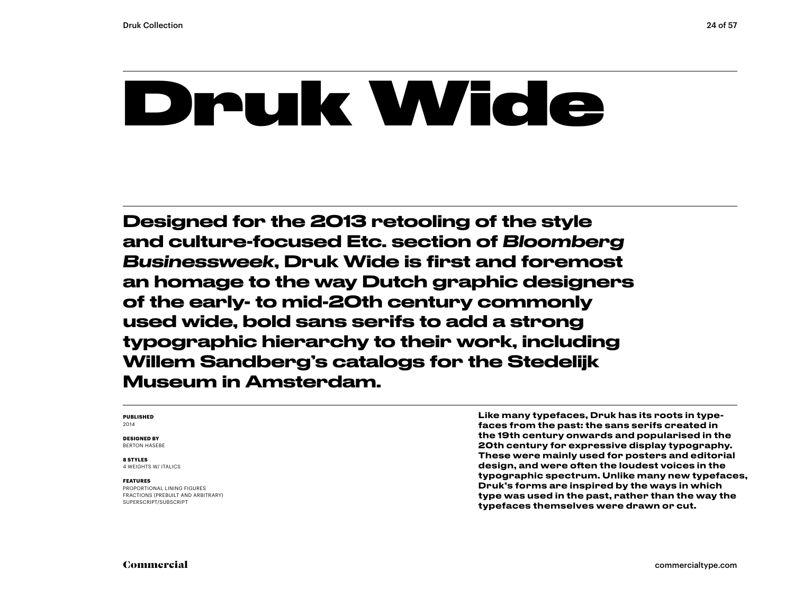### Druk Wide

Designed for the 2013 retooling of the style and culture-focused Etc. section of *Bloomberg Businessweek*, Druk Wide is first and foremost an homage to the way Dutch graphic designers of the early- to mid-20th century commonly used wide, bold sans serifs to add a strong typographic hierarchy to their work, including Willem Sandberg's catalogs for the Stedelijk Museum in Amsterdam.

#### **PUBLISHED** 2014

**DESIGNED BY** BERTON HASEBE

#### **8 STYLES**

4 WEIGHTS W/ ITALICS

#### **FEATURES**

PROPORTIONAL LINING FIGURES FRACTIONS (PREBUILT AND ARBITRARY) SUPERSCRIPT/SUBSCRIPT

Like many typefaces, Druk has its roots in typefaces from the past: the sans serifs created in the 19th century onwards and popularised in the 20th century for expressive display typography. These were mainly used for posters and editorial design, and were often the loudest voices in the typographic spectrum. Unlike many new typefaces, Druk's forms are inspired by the ways in which type was used in the past, rather than the way the typefaces themselves were drawn or cut.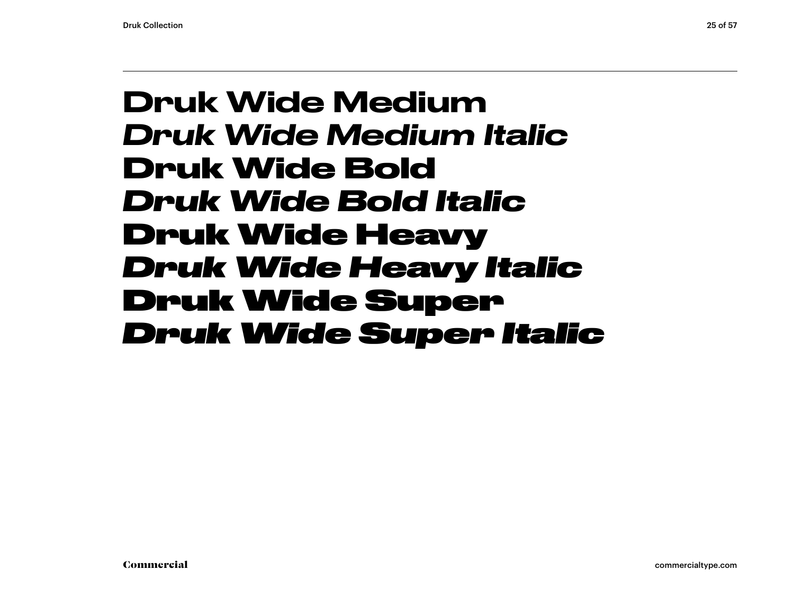### Druk Wide Medium *Druk Wide Medium Italic* **Druk Wide Bold** *Druk Wide Bold Italic* Druk Wide Heavy *Druk Wide Heavy Italic* Druk Wide Super *Druk Wide Super Italic*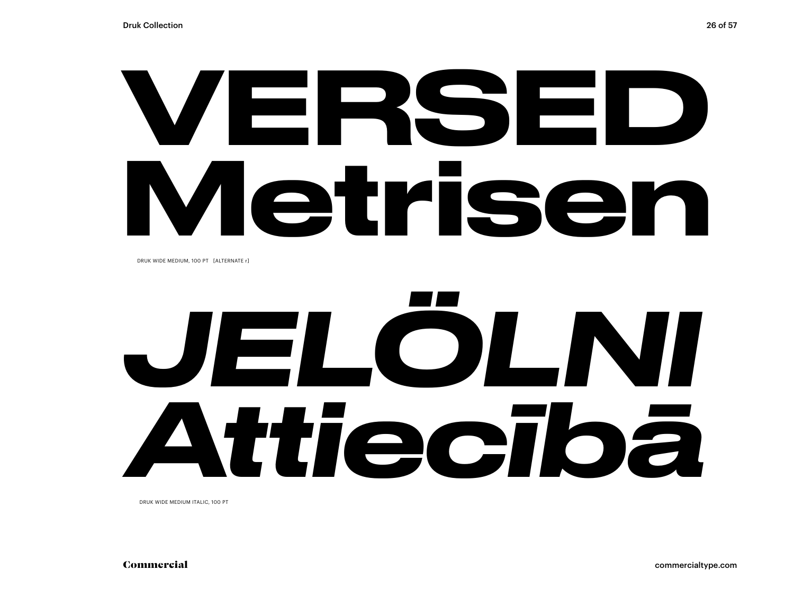# VERSED Metrisen

DRUK WIDE MEDIUM, 100 PT [ALTERNATE r]

# *JELÖLNI Attiecībā*

DRUK WIDE MEDIUM ITALIC, 100 PT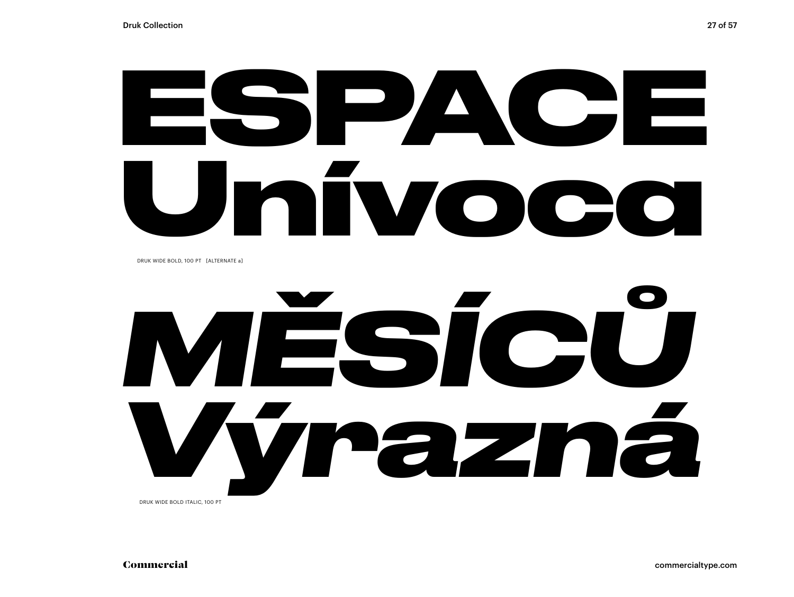# **ESPACE Unívoca**

DRUK WIDE BOLD, 100 PT [ALTERNATE a]

## *MĚSÍCŮ Výrazná*  DRUK WIDE BOLD ITALIC, 100 PT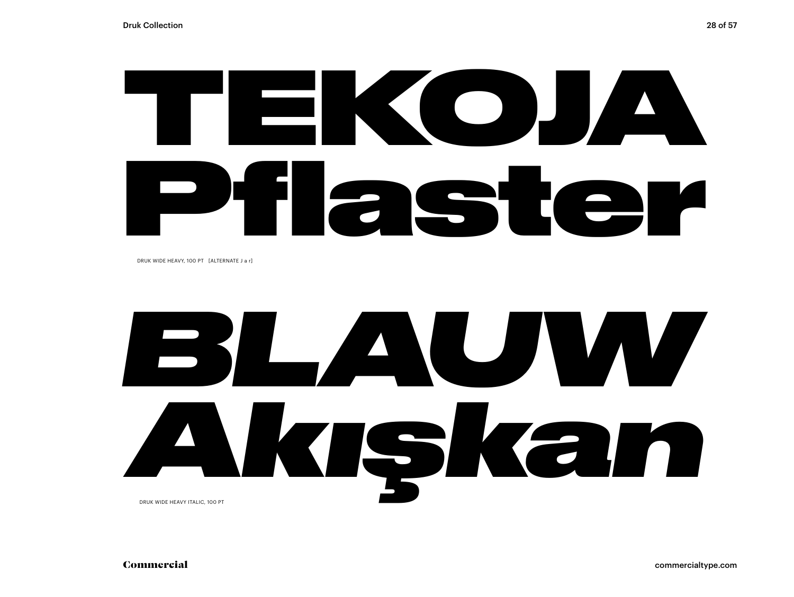# TEKOJA Pflaster

DRUK WIDE HEAVY, 100 PT [ALTERNATE J a r]

### *BLAUW Akışkan* DRUK WIDE HEAVY ITALIC, 100 PT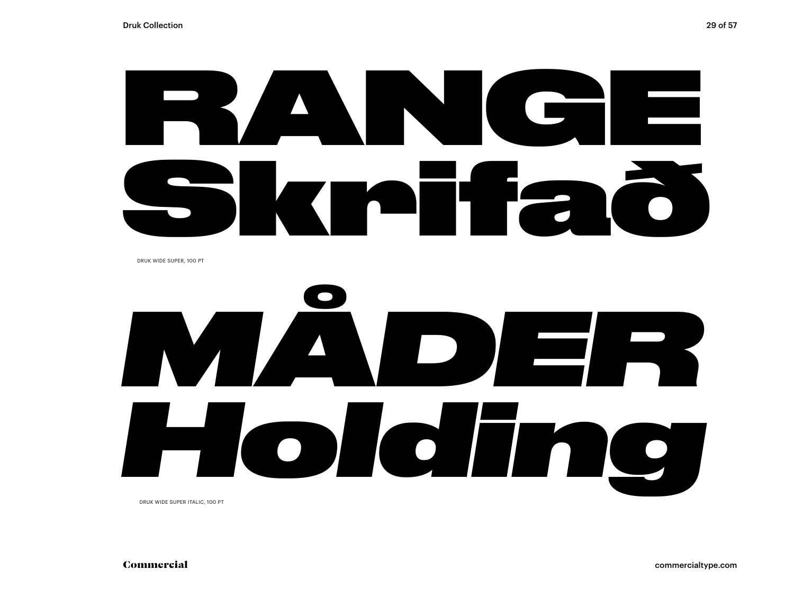# RANGE Skrifað

DRUK WIDE SUPER, 100 PT



DRUK WIDE SUPER ITALIC, 100 PT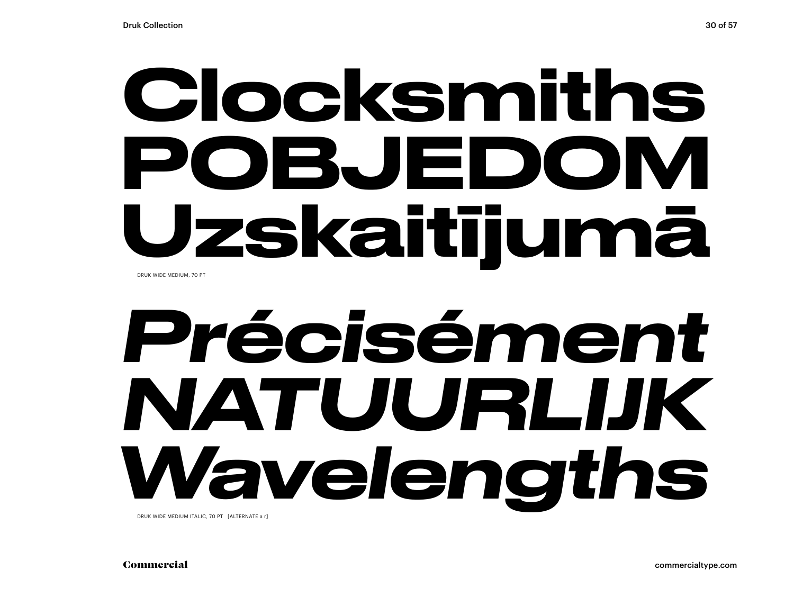### Clocksmiths POBJEDOM Uzskaitījumā DRUK WIDE MEDIUM, 70 PT

## *Précisément NATUURLIJK Wavelengths*

DRUK WIDE MEDIUM ITALIC, 70 PT [ALTERNATE a r]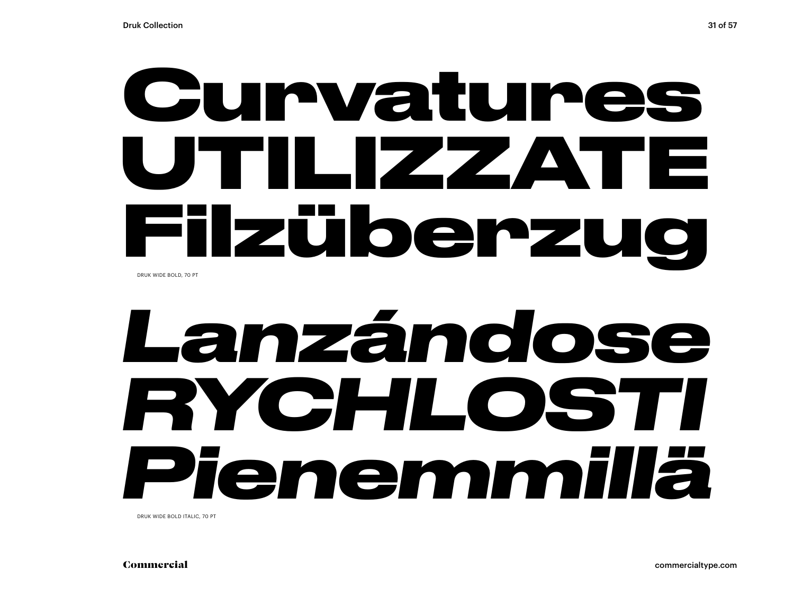### **Curvatures UTILIZZATE Filzüberzug** DRUK WIDE BOLD, 70 PT

### *Lanzándose RYCHLOSTI Pienemmillä*

DRUK WIDE BOLD ITALIC, 70 PT

Commercial commercialtype.com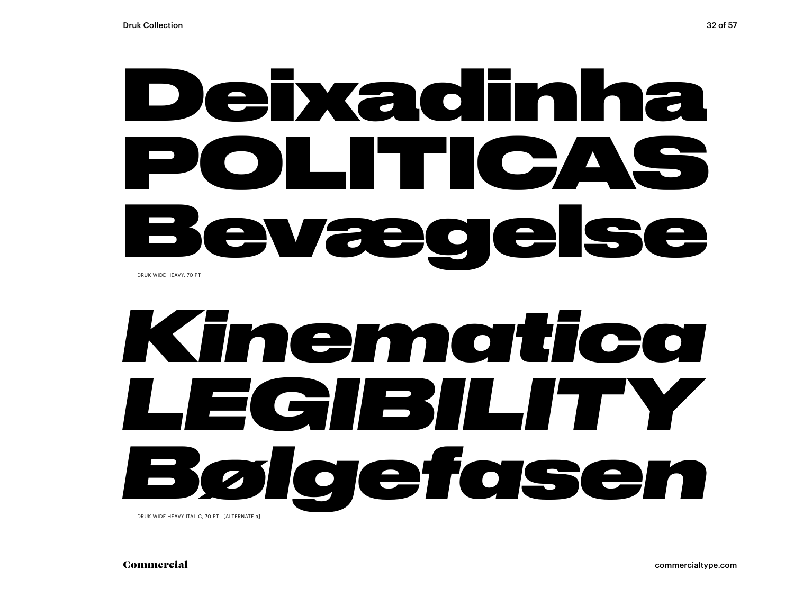### Deixadinha POLITICAS Bevægelse DRUK WIDE HEAVY, 70 PT

## *Kinematica LEGIBILITY Bølgefasen*

DRUK WIDE HEAVY ITALIC, 70 PT [ALTERNATE a]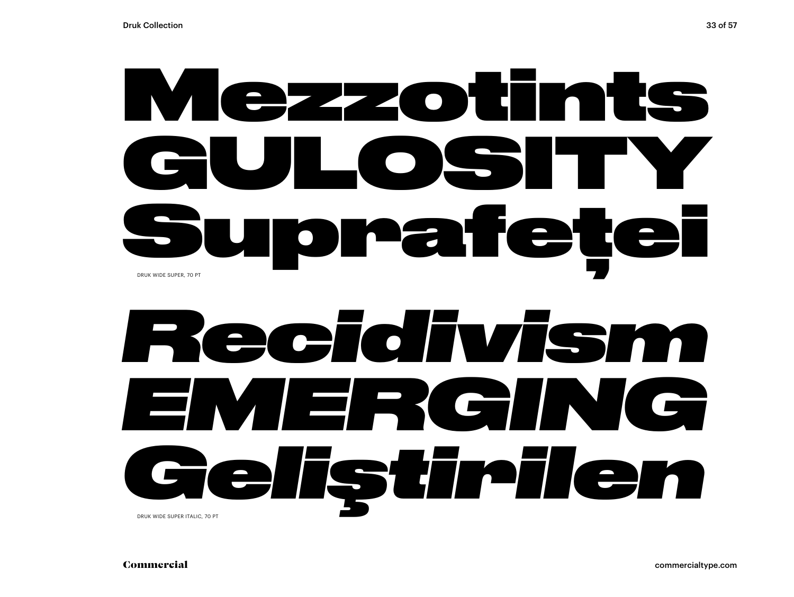### Mezzotints **GULOSITY** Suprafeței DRUK WIDE SUPER, 70 PT

### *Recidivism EMERGING Geliştirilen* DRUK WIDE SUPER ITALIC, 70 PT

Commercial commercialtype.com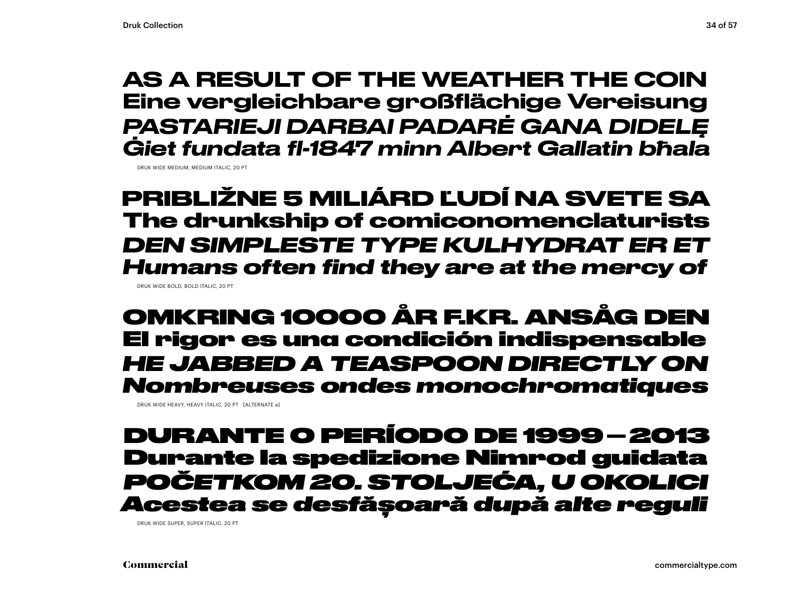### AS A RESULT OF THE WEATHER THE COIN Eine vergleichbare großflächige Vereisung *PASTARIEJI DARBAI PADARĖ GANA DIDELĘ Ġiet fundata fl-1847 minn Albert Gallatin bħala*

DRUK WIDE MEDIUM, MEDIUM ITALIC, 20 PT

**PRIBLIŽNE 5 MILIÁRD ĽUDÍ NA SVETE SA The drunkship of comiconomenclaturists** *DEN SIMPLESTE TYPE KULHYDRAT ER ET Humans often find they are at the mercy of* DRUK WIDE BOLD, BOLD ITALIC, 20 PT

### OMKRING 10000 ÅR F.KR. ANSÅG DEN El rigor es una condición indispensable *HE JABBED A TEASPOON DIRECTLY ON Nombreuses ondes monochromatiques*

DRUK WIDE HEAVY, HEAVY ITALIC, 20 PT [ALTERNATE a]

### DURANTE O PERÍODO DE 1999–2013 Durante la spedizione Nimrod guidata *POČETKOM 20. STOLJEĆA, U OKOLICI Acestea se desfășoară după alte reguli*

DRUK WIDE SUPER, SUPER ITALIC, 20 PT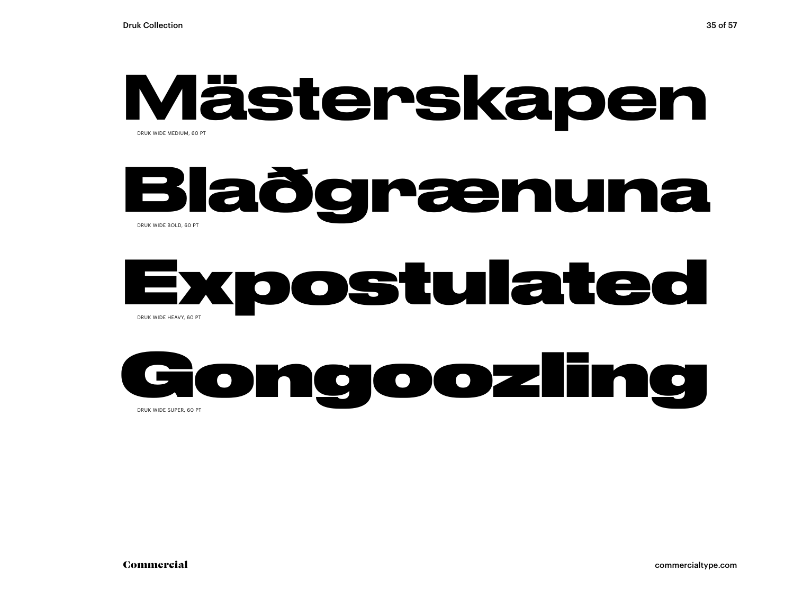### Mästerskapen DRUK WIDE MEDIUM, 60 PT

### **Blaðgrænuna** DRUK WIDE BOLD, 60 PT

### Expostulated DRUK WIDE HEAVY, 60 PT

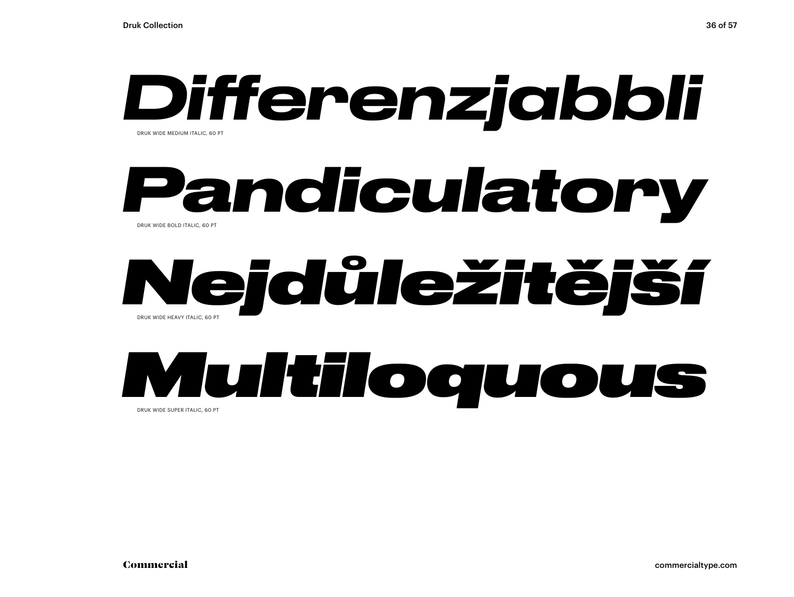

### *Pandiculatory* DRUK WIDE BOLD ITALIC, 60 PT

### *Nejdůležitější* DRUK WIDE HEAVY ITALIC, 60 PT



DRUK WIDE SUPER ITALIC, 60 PT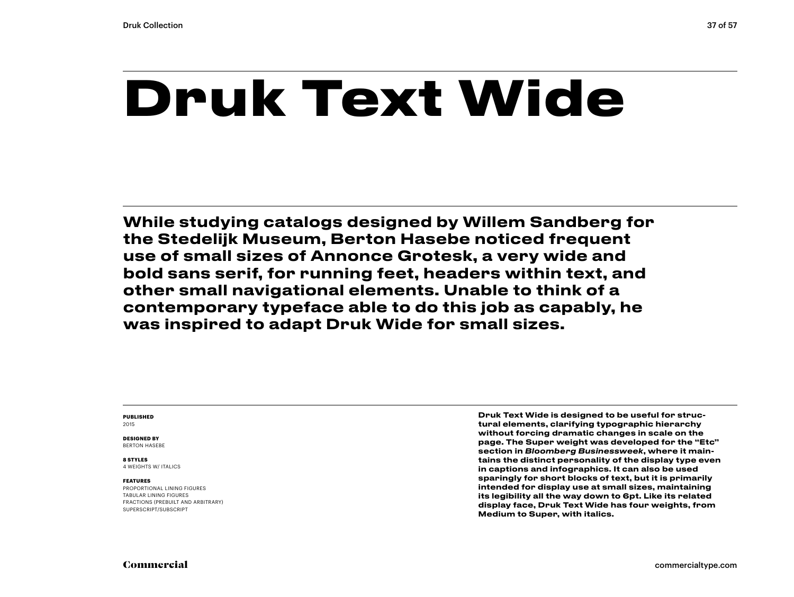### **Druk Text Wide**

While studying catalogs designed by Willem Sandberg for the Stedelijk Museum, Berton Hasebe noticed frequent use of small sizes of Annonce Grotesk, a very wide and bold sans serif, for running feet, headers within text, and other small navigational elements. Unable to think of a contemporary typeface able to do this job as capably, he was inspired to adapt Druk Wide for small sizes.

#### **PUBLISHED** 2015

**DESIGNED BY** BERTON HASEBE

#### **8 STYLES**

4 WEIGHTS W/ ITALICS

#### **FEATURES**

PROPORTIONAL LINING FIGURES TABULAR LINING FIGURES FRACTIONS (PREBUILT AND ARBITRARY) SUPERSCRIPT/SUBSCRIPT

Druk Text Wide is designed to be useful for structural elements, clarifying typographic hierarchy without forcing dramatic changes in scale on the page. The Super weight was developed for the "Etc" section in *Bloomberg Businessweek*, where it maintains the distinct personality of the display type even in captions and infographics. It can also be used sparingly for short blocks of text, but it is primarily intended for display use at small sizes, maintaining its legibility all the way down to 6pt. Like its related display face, Druk Text Wide has four weights, from Medium to Super, with italics.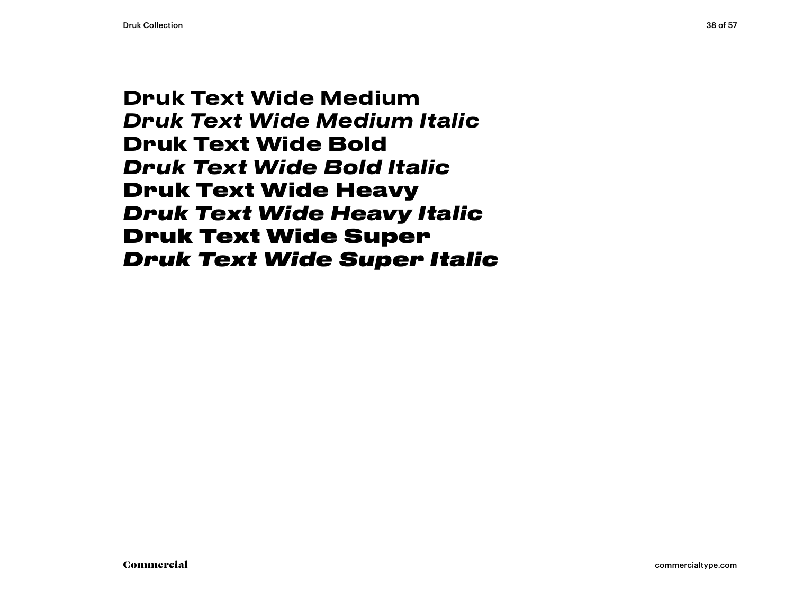Druk Text Wide Medium *Druk Text Wide Medium Italic* **Druk Text Wide Bold** *Druk Text Wide Bold Italic* Druk Text Wide Heavy *Druk Text Wide Heavy Italic* Druk Text Wide Super *Druk Text Wide Super Italic*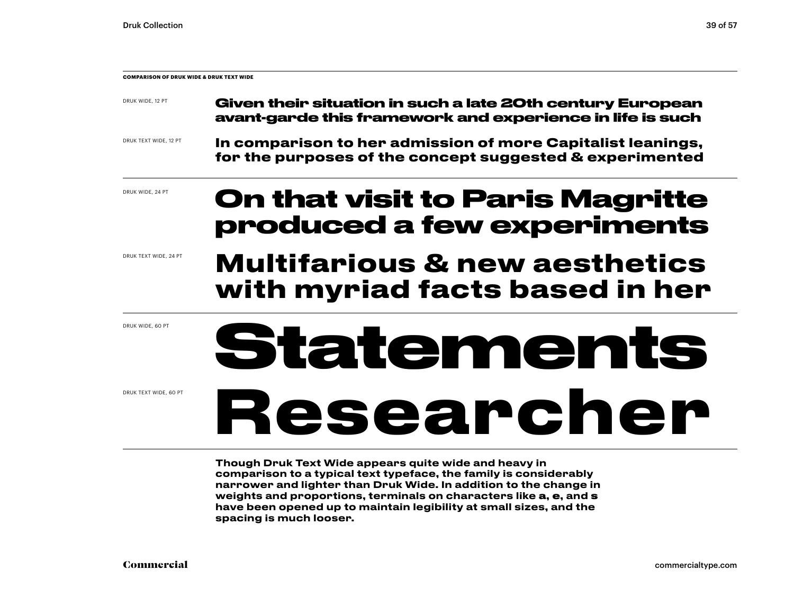| <b>COMPARISON OF DRUK WIDE &amp; DRUK TEXT WIDE</b> |                                                                                                                         |  |  |  |
|-----------------------------------------------------|-------------------------------------------------------------------------------------------------------------------------|--|--|--|
| DRUK WIDE, 12 PT                                    | Given their situation in such a late 20th century European<br>avant-garde this framework and experience in life is such |  |  |  |
| DRUK TEXT WIDE, 12 PT                               | In comparison to her admission of more Capitalist leanings,<br>for the purposes of the concept suggested & experimented |  |  |  |
| DRUK WIDE, 24 PT                                    | _______                                                                                                                 |  |  |  |

### **On that visit to Paris Magritte produced a few experiments**

#### DRUK TEXT WIDE, 24 PT

### **with myriad facts based in her**

DRUK WIDE, 60 PT

DRUK TEXT WIDE, 60 PT

**Multifarious & new aesthetics** 

**Statements**

**Researcher**

Though Druk Text Wide appears quite wide and heavy in comparison to a typical text typeface, the family is considerably narrower and lighter than Druk Wide. In addition to the change in weights and proportions, terminals on characters like a, e, and s have been opened up to maintain legibility at small sizes, and the spacing is much looser.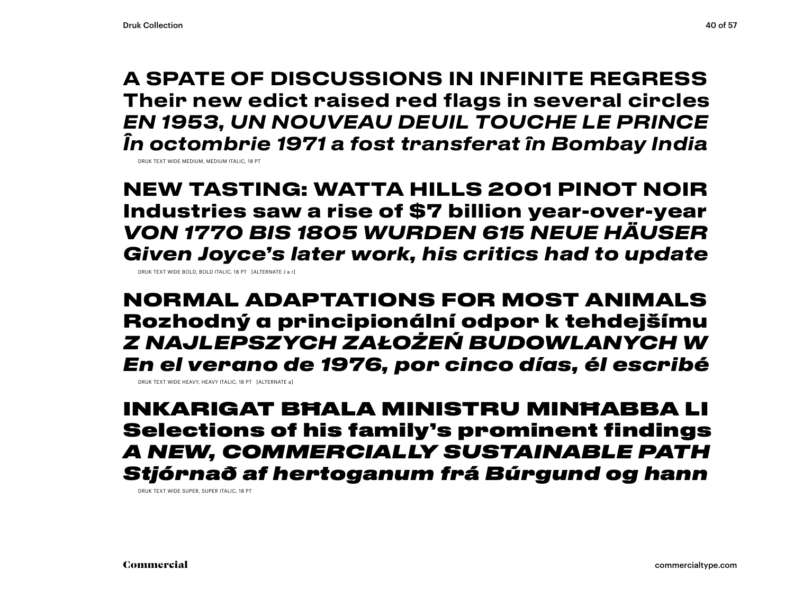A SPATE OF DISCUSSIONS IN INFINITE REGRESS Their new edict raised red flags in several circles *EN 1953, UN NOUVEAU DEUIL TOUCHE LE PRINCE În octombrie 1971 a fost transferat în Bombay India*

DRUK TEXT WIDE MEDIUM, MEDIUM ITALIC, 18 PT

**NEW TASTING: WATTA HILLS 2001 PINOT NOIR Industries saw a rise of \$7 billion year-over-year** *VON 1770 BIS 1805 WURDEN 615 NEUE HÄUSER Given Joyce's later work, his critics had to update*

DRUK TEXT WIDE BOLD, BOLD ITALIC, 18 PT [ALTERNATE J a r]

NORMAL ADAPTATIONS FOR MOST ANIMALS Rozhodný a principionální odpor k tehdejšímu *Z NAJLEPSZYCH ZAŁOŻEŃ BUDOWLANYCH W En el verano de 1976, por cinco días, él escribé*

DRUK TEXT WIDE HEAVY, HEAVY ITALIC, 18 PT [ALTERNATE a]

INKARIGAT BĦALA MINISTRU MINĦABBA LI Selections of his family's prominent findings *A NEW, COMMERCIALLY SUSTAINABLE PATH Stjórnað af hertoganum frá Búrgund og hann*

DRUK TEXT WIDE SUPER, SUPER ITALIC, 18 PT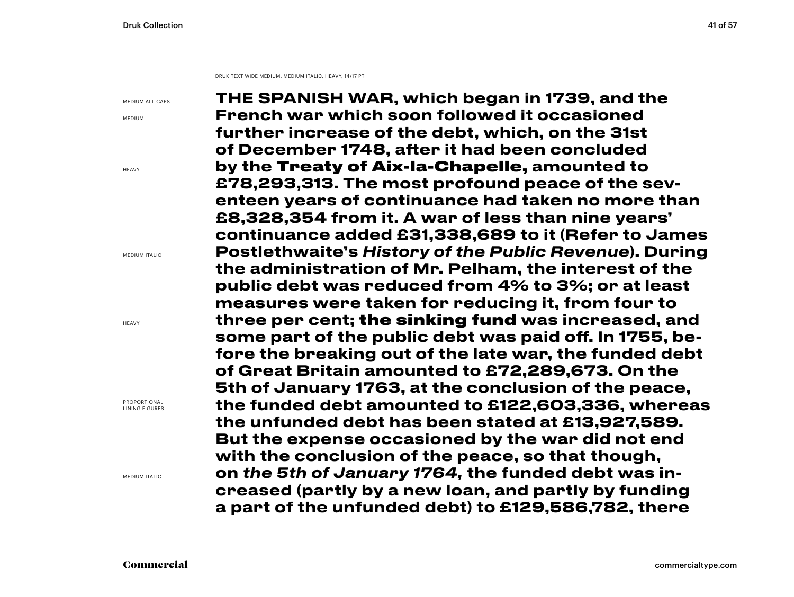DRUK TEXT WIDE MEDIUM, MEDIUM ITALIC, HEAVY, 14/17 PT

MEDIUM ALL CAPS

MEDIUM

HEAVY

MEDIUM ITALIC

**HEAVY** 

PROPORTIONAL LINING FIGURES

MEDIUM ITALIC

THE SPANISH WAR, which began in 1739, and the French war which soon followed it occasioned further increase of the debt, which, on the 31st of December 1748, after it had been concluded by the Treaty of Aix-la-Chapelle, amounted to £78,293,313. The most profound peace of the seventeen years of continuance had taken no more than £8,328,354 from it. A war of less than nine years' continuance added £31,338,689 to it (Refer to James Postlethwaite's *History of the Public Revenue*). During the administration of Mr. Pelham, the interest of the public debt was reduced from 4% to 3%; or at least measures were taken for reducing it, from four to three per cent; the sinking fund was increased, and some part of the public debt was paid off. In 1755, before the breaking out of the late war, the funded debt of Great Britain amounted to £72,289,673. On the 5th of January 1763, at the conclusion of the peace, the funded debt amounted to £122,603,336, whereas the unfunded debt has been stated at £13,927,589. But the expense occasioned by the war did not end with the conclusion of the peace, so that though, on *the 5th of January 1764,* the funded debt was increased (partly by a new loan, and partly by funding a part of the unfunded debt) to £129,586,782, there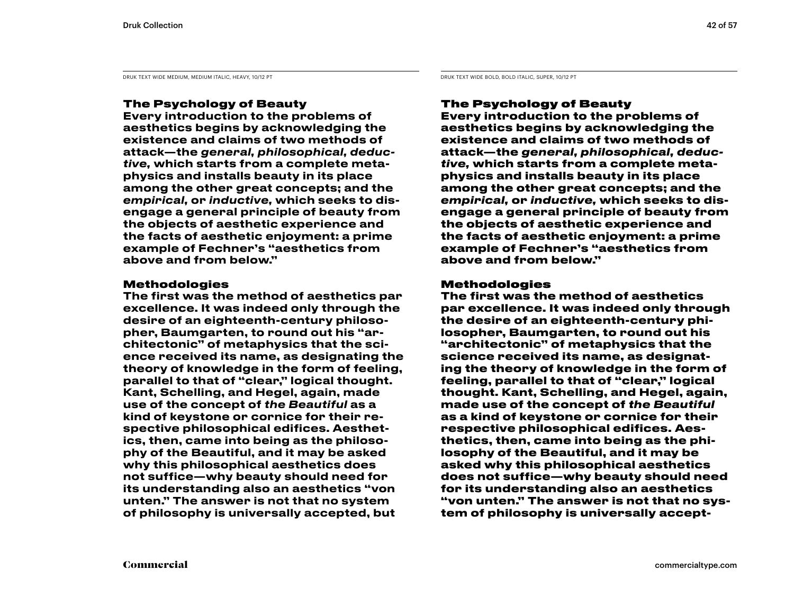DRUK TEXT WIDE MEDIUM, MEDIUM ITALIC, HEAVY, 10/12 PT DRUK TEXT WIDE BOLD, BOLD ITALIC, SUPER, 10/12 PT

### The Psychology of Beauty

Every introduction to the problems of aesthetics begins by acknowledging the existence and claims of two methods of attack—the *general, philosophical, deductive,* which starts from a complete metaphysics and installs beauty in its place among the other great concepts; and the *empirical,* or *inductive,* which seeks to disengage a general principle of beauty from the objects of aesthetic experience and the facts of aesthetic enjoyment: a prime example of Fechner's "aesthetics from above and from below."

### Methodologies

The first was the method of aesthetics par excellence. It was indeed only through the desire of an eighteenth-century philosopher, Baumgarten, to round out his "architectonic" of metaphysics that the science received its name, as designating the theory of knowledge in the form of feeling, parallel to that of "clear," logical thought. Kant, Schelling, and Hegel, again, made use of the concept of *the Beautiful* as a kind of keystone or cornice for their respective philosophical edifices. Aesthetics, then, came into being as the philosophy of the Beautiful, and it may be asked why this philosophical aesthetics does not suffice—why beauty should need for its understanding also an aesthetics "von unten." The answer is not that no system of philosophy is universally accepted, but

### The Psychology of Beauty

**Every introduction to the problems of aesthetics begins by acknowledging the existence and claims of two methods of attack—the** *general, philosophical, deductive,* **which starts from a complete metaphysics and installs beauty in its place among the other great concepts; and the**  *empirical,* **or** *inductive,* **which seeks to disengage a general principle of beauty from the objects of aesthetic experience and the facts of aesthetic enjoyment: a prime example of Fechner's "aesthetics from above and from below."** 

### Methodologies

**The first was the method of aesthetics par excellence. It was indeed only through the desire of an eighteenth-century philosopher, Baumgarten, to round out his "architectonic" of metaphysics that the science received its name, as designating the theory of knowledge in the form of feeling, parallel to that of "clear," logical thought. Kant, Schelling, and Hegel, again, made use of the concept of** *the Beautiful*  **as a kind of keystone or cornice for their respective philosophical edifices. Aesthetics, then, came into being as the philosophy of the Beautiful, and it may be asked why this philosophical aesthetics does not suffice—why beauty should need for its understanding also an aesthetics "von unten." The answer is not that no system of philosophy is universally accept-**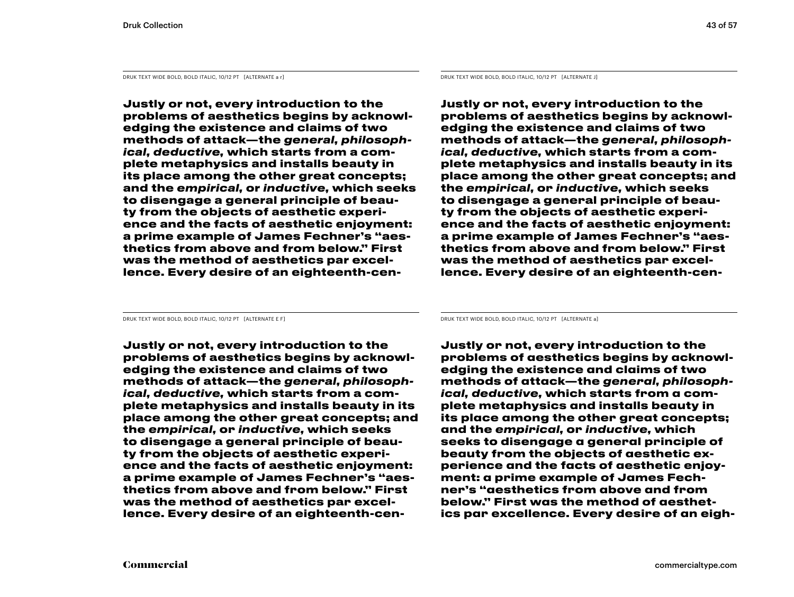DRUK TEXT WIDE BOLD, BOLD ITALIC, 10/12 PT [ALTERNATE a r] DRUK TEXT WIDE BOLD, BOLD ITALIC, 10/12 PT [ALTERNATE J]

**Justly or not, every introduction to the problems of aesthetics begins by acknowledging the existence and claims of two methods of attack—the** *general, philosophical, deductive,* **which starts from a complete metaphysics and installs beauty in its place among the other great concepts; and the** *empirical,* **or** *inductive,* **which seeks to disengage a general principle of beauty from the objects of aesthetic experience and the facts of aesthetic enjoyment: a prime example of James Fechner's "aesthetics from above and from below." First was the method of aesthetics par excellence. Every desire of an eighteenth-cen-**

**Justly or not, every introduction to the problems of aesthetics begins by acknowledging the existence and claims of two methods of attack—the** *general, philosophical, deductive,* **which starts from a complete metaphysics and installs beauty in its place among the other great concepts; and the** *empirical,* **or** *inductive,* **which seeks to disengage a general principle of beauty from the objects of aesthetic experience and the facts of aesthetic enjoyment: a prime example of James Fechner's "aesthetics from above and from below." First was the method of aesthetics par excellence. Every desire of an eighteenth-cen-**

**Justly or not, every introduction to the problems of aesthetics begins by acknowledging the existence and claims of two methods of attack—the** *general, philosophical, deductive,* **which starts from a complete metaphysics and installs beauty in its place among the other great concepts; and the** *empirical,* **or** *inductive,* **which seeks to disengage a general principle of beauty from the objects of aesthetic experience and the facts of aesthetic enjoyment: a prime example of James Fechner's "aesthetics from above and from below." First was the method of aesthetics par excellence. Every desire of an eighteenth-cen-**

DRUK TEXT WIDE BOLD, BOLD ITALIC, 10/12 PT [ALTERNATE E F] DRUK TEXT WIDE BOLD, BOLD ITALIC, 10/12 PT [ALTERNATE a]

**Justly or not, every introduction to the problems of aesthetics begins by acknowledging the existence and claims of two methods of attack—the** *general, philosophical, deductive,* **which starts from a complete metaphysics and installs beauty in its place among the other great concepts; and the** *empirical,* **or** *inductive,* **which seeks to disengage a general principle of beauty from the objects of aesthetic experience and the facts of aesthetic enjoyment: a prime example of James Fechner's "aesthetics from above and from below." First was the method of aesthetics par excellence. Every desire of an eigh-**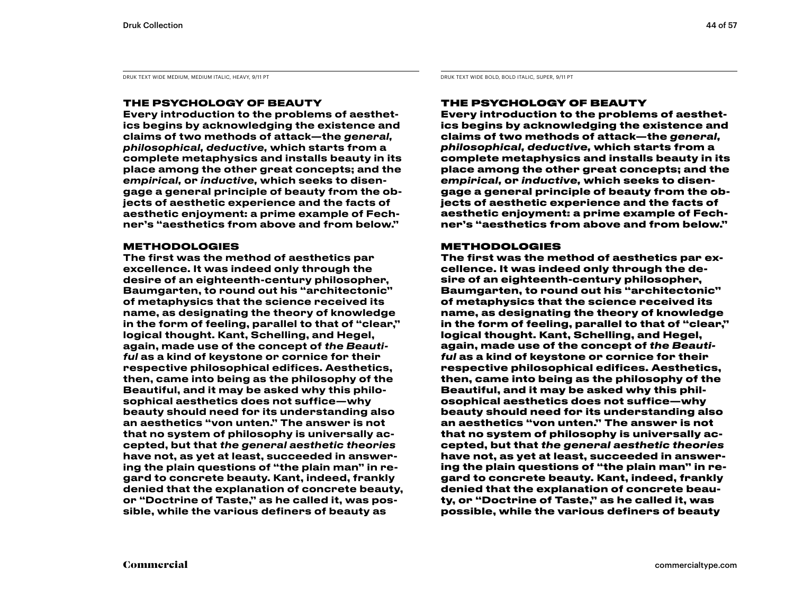DRUK TEXT WIDE MEDIUM, MEDIUM ITALIC, HEAVY, 9/11 PT DRUK TEXT WIDE BOLD, BOLD ITALIC, SUPER, 9/11 PT DRUK TEXT WIDE BOLD, BOLD ITALIC, SUPER, 9/11 PT

### THE PSYCHOLOGY OF BEAUTY

Every introduction to the problems of aesthetics begins by acknowledging the existence and claims of two methods of attack—the *general, philosophical, deductive,* which starts from a complete metaphysics and installs beauty in its place among the other great concepts; and the *empirical,* or *inductive,* which seeks to disengage a general principle of beauty from the objects of aesthetic experience and the facts of aesthetic enjoyment: a prime example of Fechner's "aesthetics from above and from below."

### **METHODOLOGIES**

The first was the method of aesthetics par excellence. It was indeed only through the desire of an eighteenth-century philosopher, Baumgarten, to round out his "architectonic" of metaphysics that the science received its name, as designating the theory of knowledge in the form of feeling, parallel to that of "clear," logical thought. Kant, Schelling, and Hegel, again, made use of the concept of *the Beautiful* as a kind of keystone or cornice for their respective philosophical edifices. Aesthetics, then, came into being as the philosophy of the Beautiful, and it may be asked why this philosophical aesthetics does not suffice—why beauty should need for its understanding also an aesthetics "von unten." The answer is not that no system of philosophy is universally accepted, but that *the general aesthetic theories*  have not, as yet at least, succeeded in answering the plain questions of "the plain man" in regard to concrete beauty. Kant, indeed, frankly denied that the explanation of concrete beauty, or "Doctrine of Taste," as he called it, was possible, while the various definers of beauty as

### THE PSYCHOLOGY OF BEAUTY

**Every introduction to the problems of aesthetics begins by acknowledging the existence and claims of two methods of attack—the** *general, philosophical, deductive,* **which starts from a complete metaphysics and installs beauty in its place among the other great concepts; and the**  *empirical,* **or** *inductive,* **which seeks to disengage a general principle of beauty from the objects of aesthetic experience and the facts of aesthetic enjoyment: a prime example of Fechner's "aesthetics from above and from below."** 

### METHODOLOGIES

**The first was the method of aesthetics par excellence. It was indeed only through the desire of an eighteenth-century philosopher, Baumgarten, to round out his "architectonic" of metaphysics that the science received its name, as designating the theory of knowledge in the form of feeling, parallel to that of "clear," logical thought. Kant, Schelling, and Hegel, again, made use of the concept of** *the Beautiful* **as a kind of keystone or cornice for their respective philosophical edifices. Aesthetics, then, came into being as the philosophy of the Beautiful, and it may be asked why this philosophical aesthetics does not suffice—why beauty should need for its understanding also an aesthetics "von unten." The answer is not that no system of philosophy is universally accepted, but that** *the general aesthetic theories*  **have not, as yet at least, succeeded in answering the plain questions of "the plain man" in regard to concrete beauty. Kant, indeed, frankly denied that the explanation of concrete beauty, or "Doctrine of Taste," as he called it, was possible, while the various definers of beauty**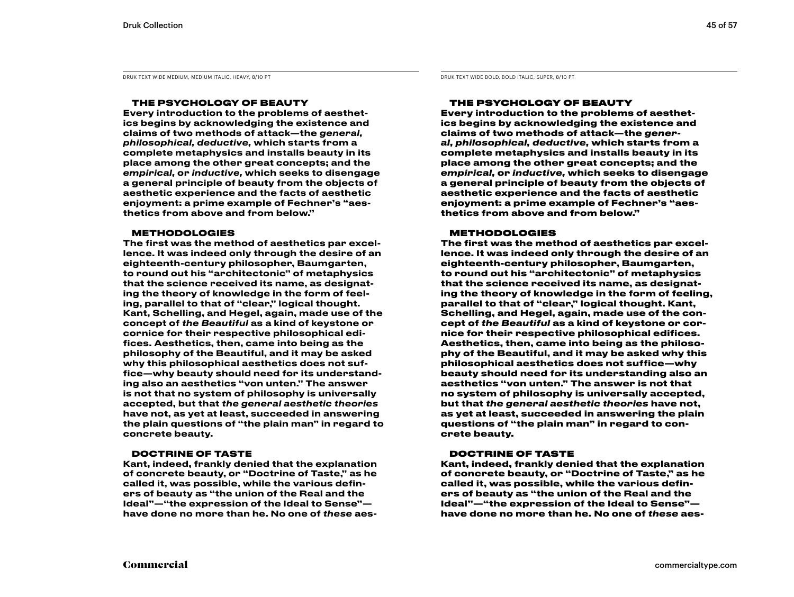DRUK TEXT WIDE MEDIUM, MEDIUM ITALIC, HEAVY, 8/10 PT DRUK TEXT WIDE BOLD, BOLD ITALIC, SUPER, 8/10 PT DRUK TEXT WIDE BOLD, BOLD ITALIC, SUPER, 8/10 PT

#### THE PSYCHOLOGY OF BEAUTY

Every introduction to the problems of aesthetics begins by acknowledging the existence and claims of two methods of attack—the *general, philosophical, deductive,* which starts from a complete metaphysics and installs beauty in its place among the other great concepts; and the *empirical,* or *inductive,* which seeks to disengage a general principle of beauty from the objects of aesthetic experience and the facts of aesthetic enjoyment: a prime example of Fechner's "aesthetics from above and from below."

#### **METHODOLOGIES**

The first was the method of aesthetics par excellence. It was indeed only through the desire of an eighteenth-century philosopher, Baumgarten, to round out his "architectonic" of metaphysics that the science received its name, as designating the theory of knowledge in the form of feeling, parallel to that of "clear," logical thought. Kant, Schelling, and Hegel, again, made use of the concept of *the Beautiful* as a kind of keystone or cornice for their respective philosophical edifices. Aesthetics, then, came into being as the philosophy of the Beautiful, and it may be asked why this philosophical aesthetics does not suffice—why beauty should need for its understanding also an aesthetics "von unten." The answer is not that no system of philosophy is universally accepted, but that *the general aesthetic theories*  have not, as yet at least, succeeded in answering the plain questions of "the plain man" in regard to concrete beauty.

#### DOCTRINE OF TASTE

Kant, indeed, frankly denied that the explanation of concrete beauty, or "Doctrine of Taste," as he called it, was possible, while the various definers of beauty as "the union of the Real and the Ideal"—"the expression of the Ideal to Sense" have done no more than he. No one of *these* aes-

#### THE PSYCHOLOGY OF BEAUTY

**Every introduction to the problems of aesthetics begins by acknowledging the existence and claims of two methods of attack—the** *general, philosophical, deductive,* **which starts from a complete metaphysics and installs beauty in its place among the other great concepts; and the**  *empirical,* **or** *inductive,* **which seeks to disengage a general principle of beauty from the objects of aesthetic experience and the facts of aesthetic enjoyment: a prime example of Fechner's "aesthetics from above and from below."** 

#### **METHODOLOGIES**

**The first was the method of aesthetics par excellence. It was indeed only through the desire of an eighteenth-century philosopher, Baumgarten, to round out his "architectonic" of metaphysics that the science received its name, as designating the theory of knowledge in the form of feeling, parallel to that of "clear," logical thought. Kant, Schelling, and Hegel, again, made use of the concept of** *the Beautiful* **as a kind of keystone or cornice for their respective philosophical edifices. Aesthetics, then, came into being as the philosophy of the Beautiful, and it may be asked why this philosophical aesthetics does not suffice—why beauty should need for its understanding also an aesthetics "von unten." The answer is not that no system of philosophy is universally accepted, but that** *the general aesthetic theories* **have not, as yet at least, succeeded in answering the plain questions of "the plain man" in regard to concrete beauty.** 

#### DOCTRINE OF TASTE

**Kant, indeed, frankly denied that the explanation of concrete beauty, or "Doctrine of Taste," as he called it, was possible, while the various definers of beauty as "the union of the Real and the Ideal"—"the expression of the Ideal to Sense" have done no more than he. No one of** *these* **aes-**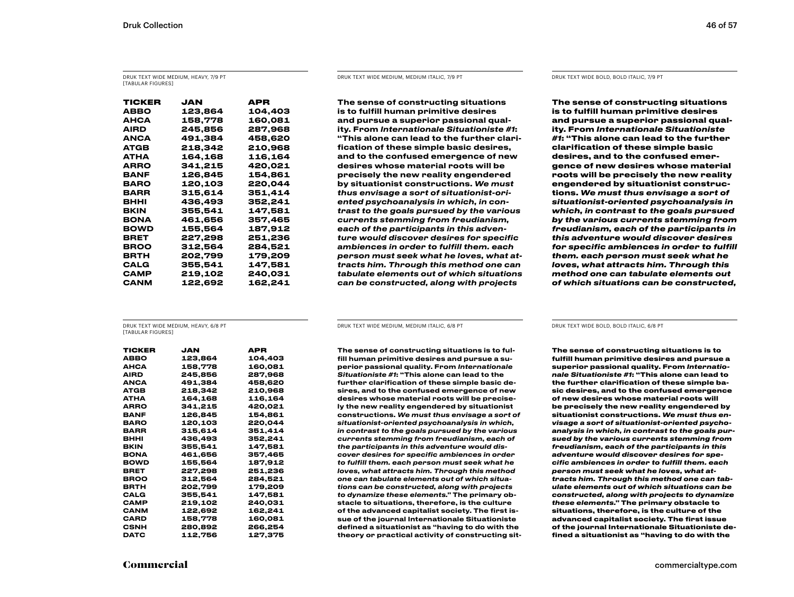DRUK TEXT WIDE MEDIUM, HEAVY, 7/9 PT [TABULAR FIGURES]

| TICKER | JAN     | APR     |
|--------|---------|---------|
| ABBO   | 123,864 | 104,403 |
| АНСА   | 158,778 | 160,081 |
| AIRD   | 245.856 | 287,968 |
| ANCA   | 491.384 | 458.620 |
| ATGB   | 218,342 | 210,968 |
| АТНА   | 164,168 | 116,164 |
| ARRO   | 341,215 | 420,021 |
| BANF   | 126.845 | 154.861 |
| BARO   | 120,103 | 220,044 |
| BARR   | 315,614 | 351,414 |
| внні   | 436.493 | 352.241 |
| BKIN   | 355.541 | 147,581 |
| BONA   | 461.656 | 357,465 |
| BOWD   | 155,564 | 187,912 |
| BRET   | 227,298 | 251,236 |
| BROO   | 312.564 | 284,521 |
| BRTH   | 202,799 | 179,209 |
| CALG   | 355,541 | 147,581 |
| САМР   | 219,102 | 240,031 |
| CANM   | 122,692 | 162,241 |

DRUK TEXT WIDE MEDIUM, MEDIUM ITALIC, 7/9 PT DRUK TEXT WIDE BOLD, BOLD ITALIC, 7/9 PT

The sense of constructing situations is to fulfill human primitive desires and pursue a superior passional quality. From *Internationale Situationiste #1*: "This alone can lead to the further clarification of these simple basic desires, and to the confused emergence of new desires whose material roots will be precisely the new reality engendered by situationist constructions. *We must thus envisage a sort of situationist-oriented psychoanalysis in which, in contrast to the goals pursued by the various currents stemming from freudianism, each of the participants in this adventure would discover desires for specific ambiences in order to fulfill them. each person must seek what he loves, what attracts him. Through this method one can tabulate elements out of which situations can be constructed, along with projects* 

**The sense of constructing situations is to fulfill human primitive desires and pursue a superior passional quality. From** *Internationale Situationiste #1***: "This alone can lead to the further clarification of these simple basic desires, and to the confused emergence of new desires whose material roots will be precisely the new reality engendered by situationist constructions.** *We must thus envisage a sort of situationist-oriented psychoanalysis in which, in contrast to the goals pursued by the various currents stemming from freudianism, each of the participants in this adventure would discover desires for specific ambiences in order to fulfill them. each person must seek what he loves, what attracts him. Through this method one can tabulate elements out of which situations can be constructed,* 

DRUK TEXT WIDE MEDIUM, HEAVY, 6/8 PT **[TABULAR FIGURES]** 

| TICKER      | JAN     | APR     |
|-------------|---------|---------|
| ABBO        | 123.864 | 104.403 |
| АНСА        | 158,778 | 160,081 |
| AIRD        | 245,856 | 287,968 |
| ANCA        | 491,384 | 458,620 |
| ATGB        | 218,342 | 210,968 |
| АТНА        | 164,168 | 116,164 |
| ARRO        | 341,215 | 420,021 |
| BANF        | 126,845 | 154,861 |
| BARO        | 120,103 | 220,044 |
| <b>BARR</b> | 315.614 | 351.414 |
| внні        | 436,493 | 352,241 |
| BKIN        | 355,541 | 147,581 |
| <b>BONA</b> | 461,656 | 357,465 |
| <b>BOWD</b> | 155,564 | 187,912 |
| BRET        | 227,298 | 251,236 |
| BROO        | 312,564 | 284,521 |
| BRTH        | 202,799 | 179,209 |
| CALG        | 355,541 | 147,581 |
| CAMP        | 219,102 | 240,031 |
| CANM        | 122,692 | 162,241 |
| CARD        | 158,778 | 160,081 |
| CSNH        | 280,892 | 266,254 |
| DATC        | 112.756 | 127.375 |

DRUK TEXT WIDE MEDIUM, MEDIUM ITALIC, 6/8 PT DRUK TEXT WIDE BOLD, BOLD ITALIC, 6/8 PT

The sense of constructing situations is to fulfill human primitive desires and pursue a superior passional quality. From *Internationale Situationiste #1*: "This alone can lead to the further clarification of these simple basic desires, and to the confused emergence of new desires whose material roots will be precisely the new reality engendered by situationist constructions. *We must thus envisage a sort of situationist-oriented psychoanalysis in which, in contrast to the goals pursued by the various currents stemming from freudianism, each of the participants in this adventure would discover desires for specific ambiences in order to fulfill them. each person must seek what he loves, what attracts him. Through this method one can tabulate elements out of which situations can be constructed, along with projects to dynamize these elements."* The primary obstacle to situations, therefore, is the culture of the advanced capitalist society. The first issue of the journal Internationale Situationiste defined a situationist as "having to do with the theory or practical activity of constructing sit-

**The sense of constructing situations is to fulfill human primitive desires and pursue a superior passional quality. From** *Internationale Situationiste #1***: "This alone can lead to the further clarification of these simple basic desires, and to the confused emergence of new desires whose material roots will be precisely the new reality engendered by situationist constructions.** *We must thus envisage a sort of situationist-oriented psychoanalysis in which, in contrast to the goals pursued by the various currents stemming from freudianism, each of the participants in this adventure would discover desires for specific ambiences in order to fulfill them. each person must seek what he loves, what attracts him. Through this method one can tabulate elements out of which situations can be constructed, along with projects to dynamize these elements."* **The primary obstacle to situations, therefore, is the culture of the advanced capitalist society. The first issue of the journal Internationale Situationiste defined a situationist as "having to do with the**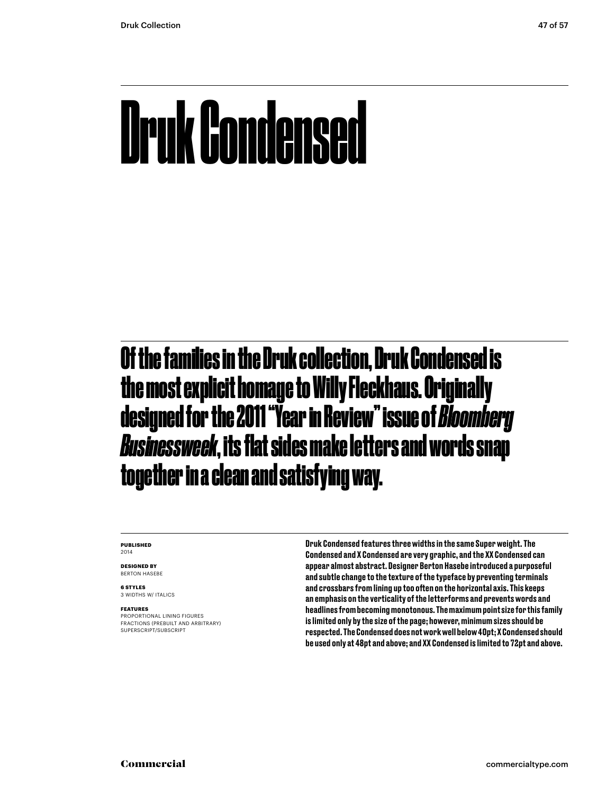## Druk Condensed

### Of the families in the Druk collection, Druk Condensed is the most explicit homage to Willy Fleckhaus. Originally designed for the 2011 "Year in Review" issue of *Bloomberg Businessweek*, its flat sides make letters and words snap together in a clean and satisfying way.

#### **PUBLISHED** 2014

**DESIGNED BY** BERTON HASEBE

**6 STYLES** 3 WIDTHS W/ ITALICS

#### **FEATURES**

PROPORTIONAL LINING FIGURES FRACTIONS (PREBUILT AND ARBITRARY) SUPERSCRIPT/SUBSCRIPT

Druk Condensed features three widths in the same Super weight. The Condensed and X Condensed are very graphic, and the XX Condensed can appear almost abstract. Designer Berton Hasebe introduced a purposeful and subtle change to the texture of the typeface by preventing terminals and crossbars from lining up too often on the horizontal axis. This keeps an emphasis on the verticality of the letterforms and prevents words and headlines from becoming monotonous. The maximum point size for this family is limited only by the size of the page; however, minimum sizes should be respected. The Condensed does not work well below 40pt; X Condensed should be used only at 48pt and above; and XX Condensed is limited to 72pt and above.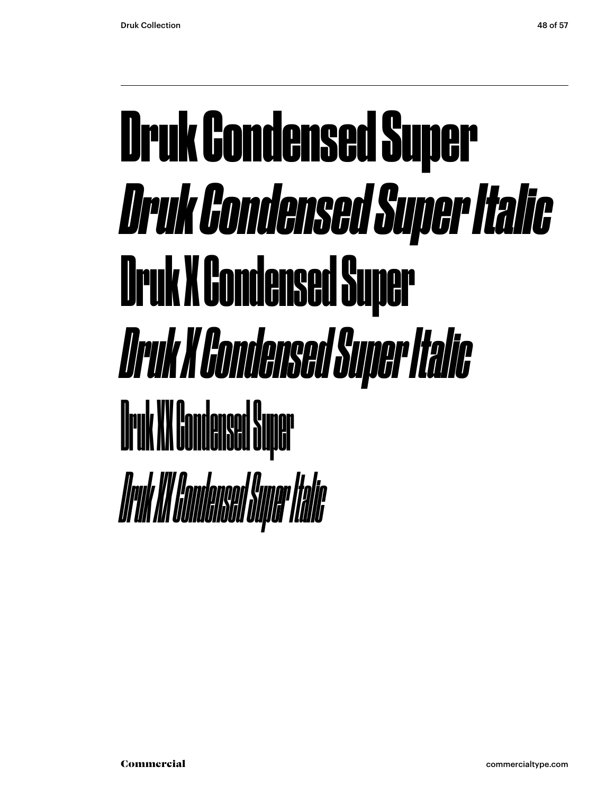## Druk Condensed Super *Druk Condensed Super Italic* Druk X Condensed Super *Druk X Condensed Super Italic* Druk XX Condensed Super *Druk XX Condensed Super Italic*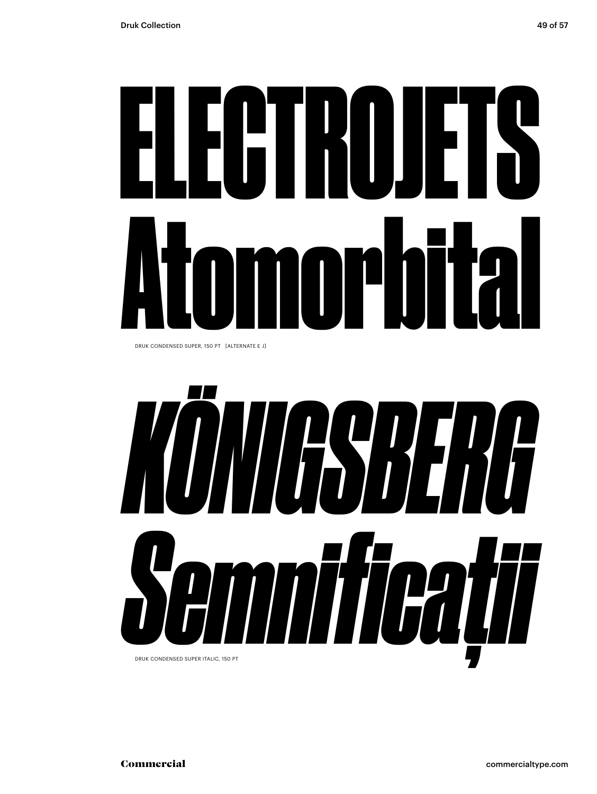# ELECTROJETS Atomorbital

DRUK CONDENSED SUPER, 150 PT [ALTERNATE E J]

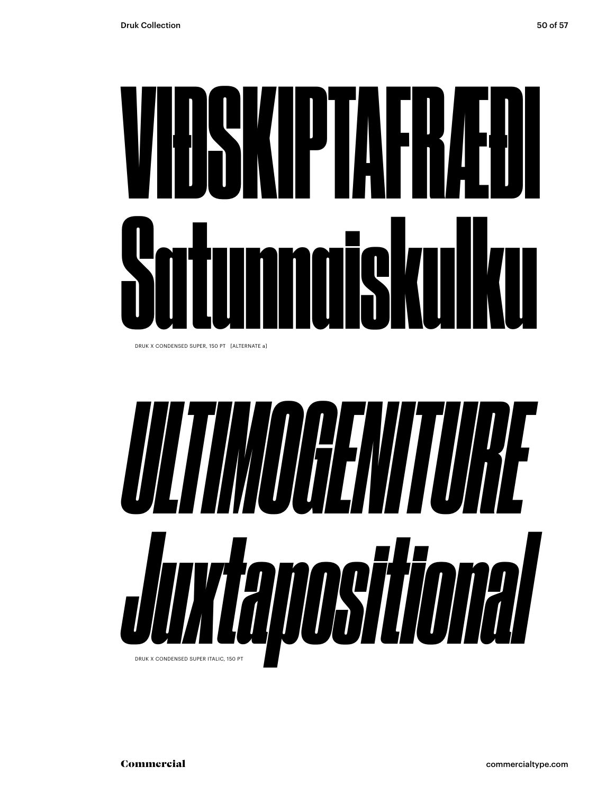# VIÐSKIPTAFRÆÐI Satunnaiskulku

DRUK X CONDENSED SUPER, 150 PT [ALTERNATE a]

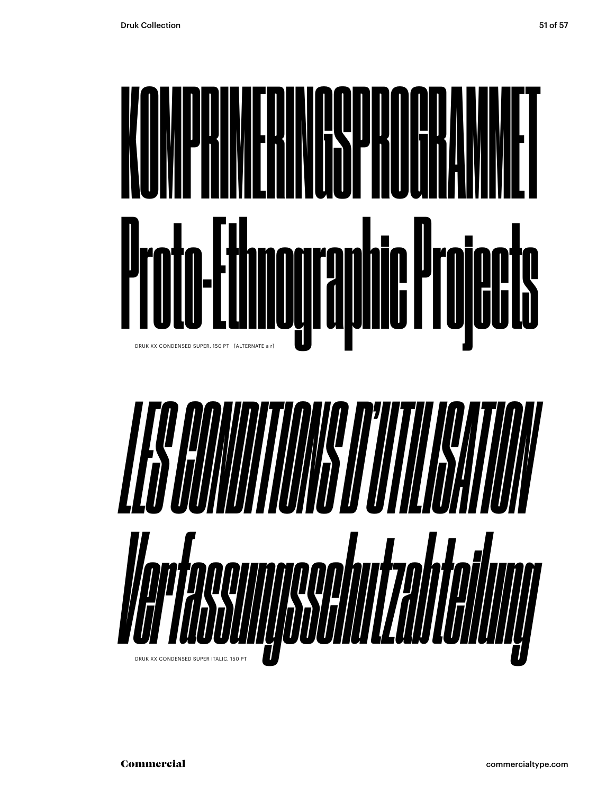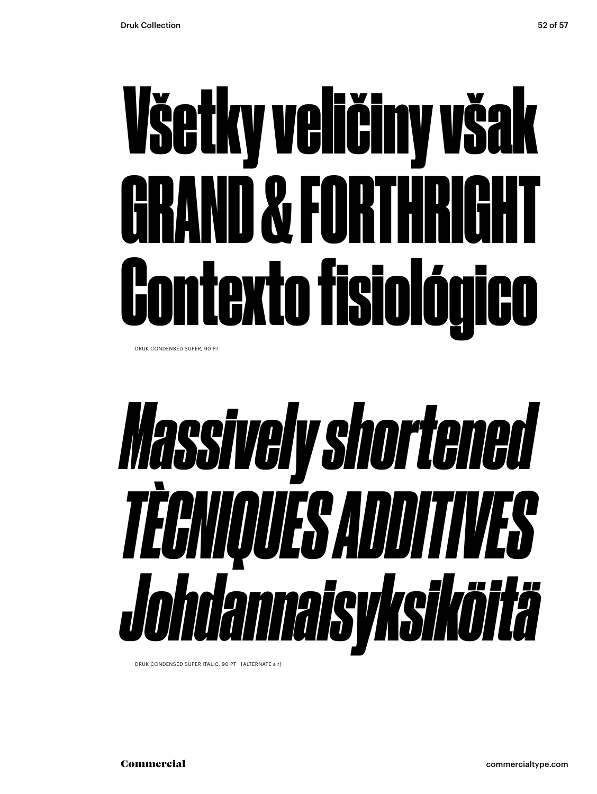# Všetky veličiny však GRAND & FORTHRIGHT Contexto fisiológico

DRUK CONDENSED SUPER, 90 PT

# *Massively shortened TÈCNIQUES ADDITIVES Johdannaisyksiköitä*

DRUK CONDENSED SUPER ITALIC, 90 PT [ALTERNATE a r]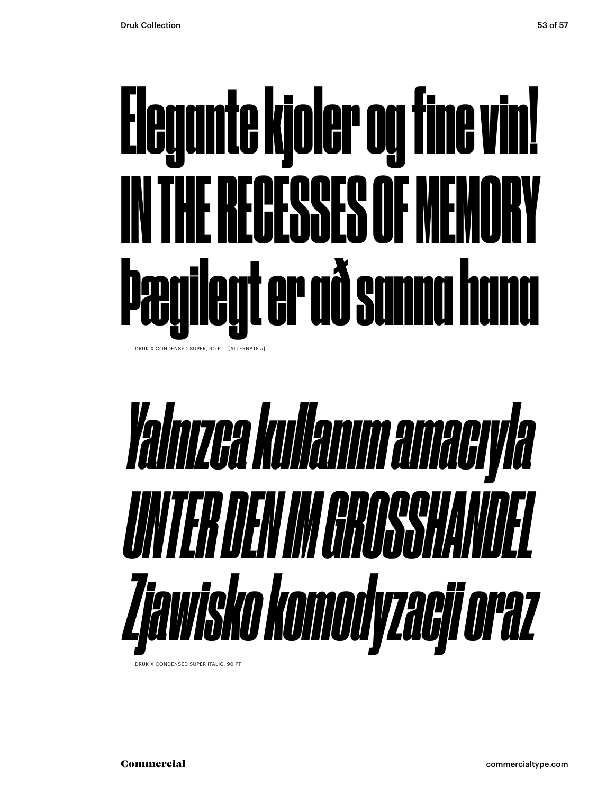# Elegante kjoler og fine vin! IN THE RECESSES OF MEMORY Þægilegt er að sanna hana

DRUK X CONDENSED SUPER, 90 PT [ALTERNATE a]

# *Yalnızca kullanım amacıyla UNTER DEN IM GROSSHANDEL Zjawisko komodyzacji oraz*

DRUK X CONDENSED SUPER ITALIC, 90 PT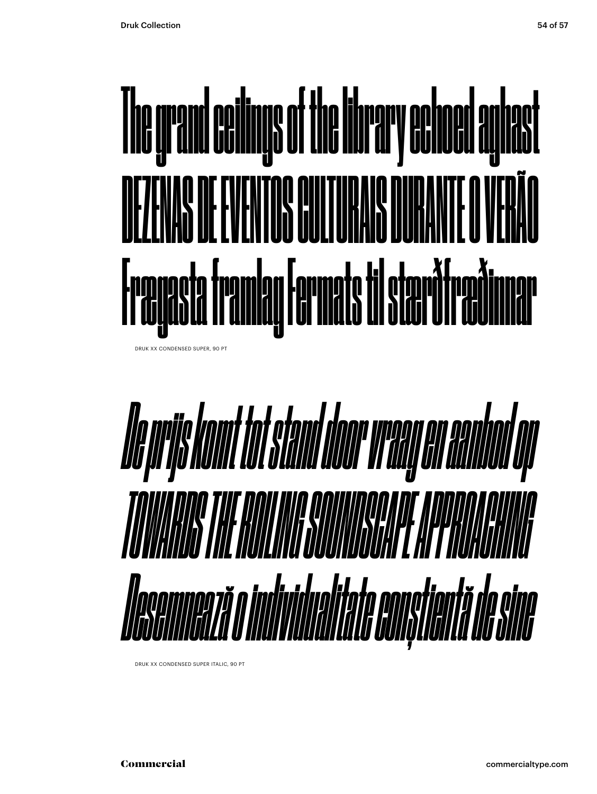

DRUK XX CONDENSED SUPER, 90 PT



DRUK XX CONDENSED SUPER ITALIC, 90 PT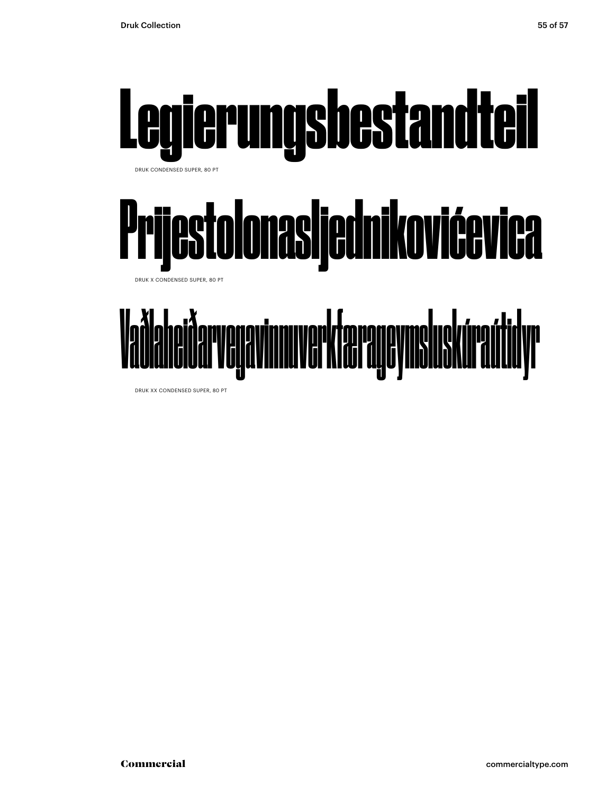

DRUK XX CONDENSED SUPER, 80 PT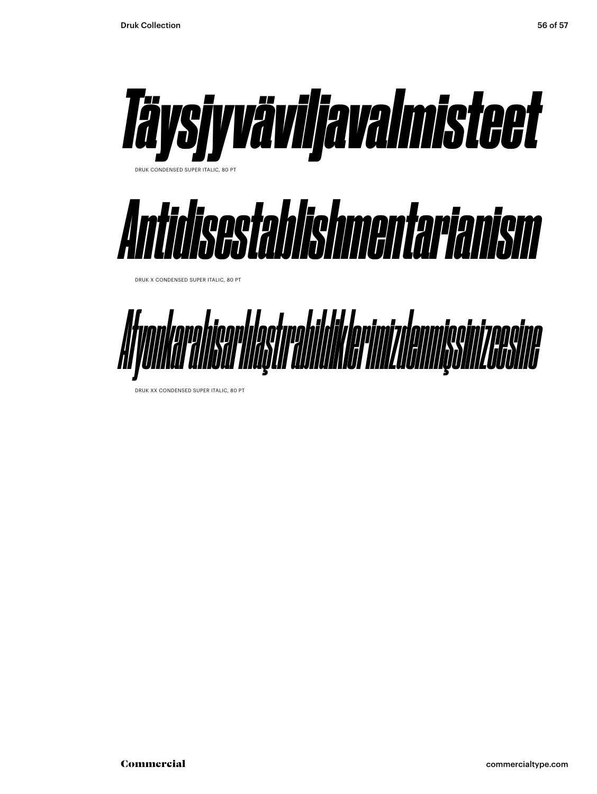

DRUK XX CONDENSED SUPER ITALIC, 80 PT